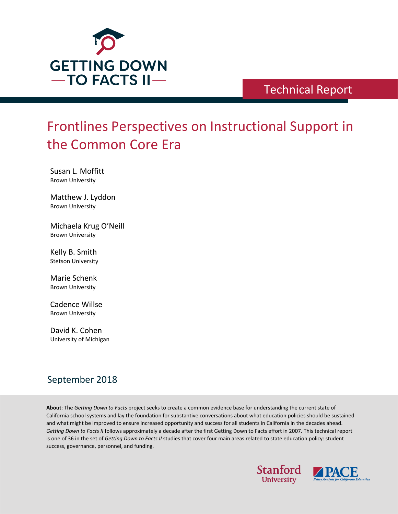

Technical Report

# Frontlines Perspectives on Instructional Support in the Common Core Era

Susan L. Moffitt Brown University

Matthew J. Lyddon Brown University

Michaela Krug O'Neill Brown University

Kelly B. Smith Stetson University

Marie Schenk Brown University

Cadence Willse Brown University

David K. Cohen University of Michigan

## September 2018

**About**: The *Getting Down to Facts* project seeks to create a common evidence base for understanding the current state of California school systems and lay the foundation for substantive conversations about what education policies should be sustained and what might be improved to ensure increased opportunity and success for all students in California in the decades ahead. *Getting Down to Facts II* follows approximately a decade after the first Getting Down to Facts effort in 2007. This technical report is one of 36 in the set of *Getting Down to Facts II* studies that cover four main areas related to state education policy: student success, governance, personnel, and funding.



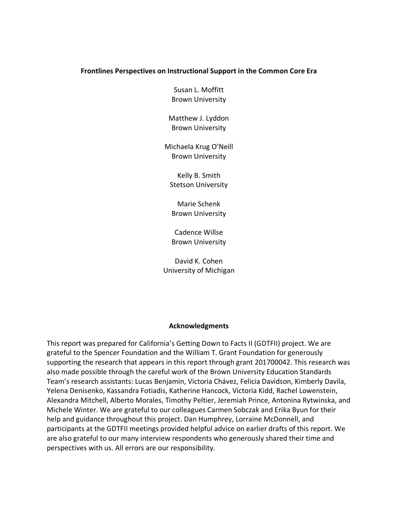#### **Frontlines Perspectives on Instructional Support in the Common Core Era**

Susan L. Moffitt Brown University

Matthew J. Lyddon Brown University

Michaela Krug O'Neill Brown University

Kelly B. Smith Stetson University

Marie Schenk Brown University

Cadence Willse Brown University

David K. Cohen University of Michigan

#### **Acknowledgments**

This report was prepared for California's Getting Down to Facts II (GDTFII) project. We are grateful to the Spencer Foundation and the William T. Grant Foundation for generously supporting the research that appears in this report through grant 201700042. This research was also made possible through the careful work of the Brown University Education Standards Team's research assistants: Lucas Benjamin, Victoria Chávez, Felicia Davidson, Kimberly Davila, Yelena Denisenko, Kassandra Fotiadis, Katherine Hancock, Victoria Kidd, Rachel Lowenstein, Alexandra Mitchell, Alberto Morales, Timothy Peltier, Jeremiah Prince, Antonina Rytwinska, and Michele Winter. We are grateful to our colleagues Carmen Sobczak and Erika Byun for their help and guidance throughout this project. Dan Humphrey, Lorraine McDonnell, and participants at the GDTFII meetings provided helpful advice on earlier drafts of this report. We are also grateful to our many interview respondents who generously shared their time and perspectives with us. All errors are our responsibility.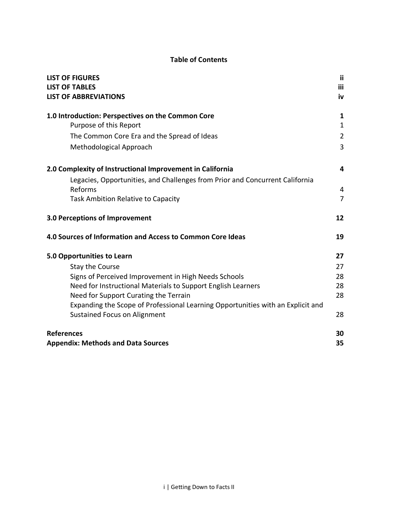### **Table of Contents**

| <b>LIST OF FIGURES</b>                                                          | ii.              |
|---------------------------------------------------------------------------------|------------------|
| <b>LIST OF TABLES</b><br><b>LIST OF ABBREVIATIONS</b>                           | <b>iii</b><br>iv |
| 1.0 Introduction: Perspectives on the Common Core                               | 1                |
| Purpose of this Report                                                          | $\mathbf 1$      |
| The Common Core Era and the Spread of Ideas                                     | $\overline{2}$   |
| Methodological Approach                                                         | 3                |
| 2.0 Complexity of Instructional Improvement in California                       | 4                |
| Legacies, Opportunities, and Challenges from Prior and Concurrent California    |                  |
| Reforms                                                                         | 4                |
| <b>Task Ambition Relative to Capacity</b>                                       | $\overline{7}$   |
| 3.0 Perceptions of Improvement                                                  | 12               |
| 4.0 Sources of Information and Access to Common Core Ideas                      | 19               |
| 5.0 Opportunities to Learn                                                      | 27               |
| Stay the Course                                                                 | 27               |
| Signs of Perceived Improvement in High Needs Schools                            | 28               |
| Need for Instructional Materials to Support English Learners                    | 28               |
| Need for Support Curating the Terrain                                           | 28               |
| Expanding the Scope of Professional Learning Opportunities with an Explicit and |                  |
| <b>Sustained Focus on Alignment</b>                                             | 28               |
| <b>References</b>                                                               | 30               |
| <b>Appendix: Methods and Data Sources</b>                                       | 35               |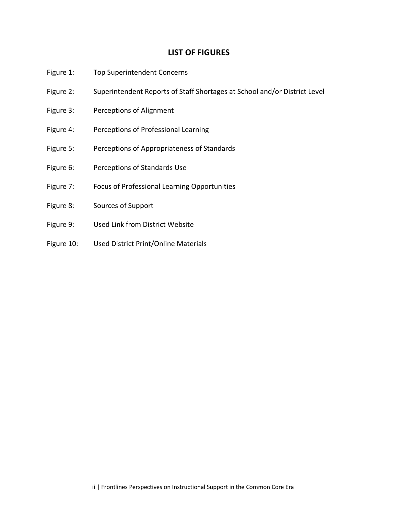### **LIST OF FIGURES**

- Figure 1: Top Superintendent Concerns
- Figure 2: Superintendent Reports of Staff Shortages at School and/or District Level
- Figure 3: Perceptions of Alignment
- Figure 4: Perceptions of Professional Learning
- Figure 5: Perceptions of Appropriateness of Standards
- Figure 6: Perceptions of Standards Use
- Figure 7: Focus of Professional Learning Opportunities
- Figure 8: Sources of Support
- Figure 9: Used Link from District Website
- Figure 10: Used District Print/Online Materials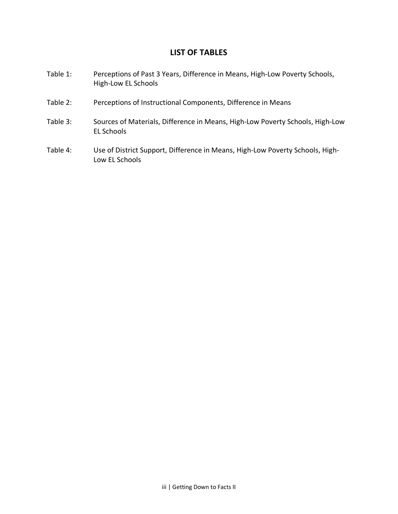### **LIST OF TABLES**

- Table 1: Perceptions of Past 3 Years, Difference in Means, High-Low Poverty Schools, High-Low EL Schools
- Table 2: Perceptions of Instructional Components, Difference in Means
- Table 3: Sources of Materials, Difference in Means, High-Low Poverty Schools, High-Low EL Schools
- Table 4: Use of District Support, Difference in Means, High-Low Poverty Schools, High-Low EL Schools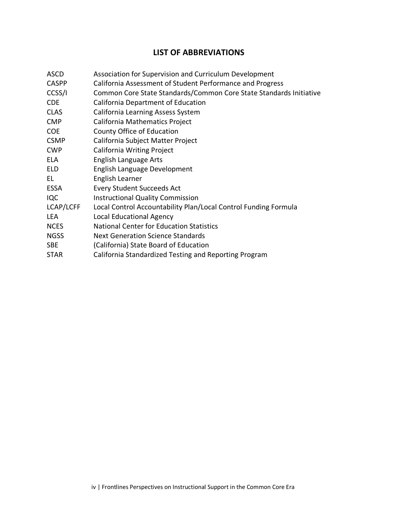### **LIST OF ABBREVIATIONS**

- ASCD Association for Supervision and Curriculum Development
- CASPP California Assessment of Student Performance and Progress
- CCSS/I Common Core State Standards/Common Core State Standards Initiative
- CDE California Department of Education
- CLAS California Learning Assess System
- CMP California Mathematics Project
- COE County Office of Education
- CSMP California Subject Matter Project
- CWP California Writing Project
- ELA English Language Arts
- ELD English Language Development
- EL English Learner
- ESSA Every Student Succeeds Act
- IQC Instructional Quality Commission
- LCAP/LCFF Local Control Accountability Plan/Local Control Funding Formula
- LEA Local Educational Agency
- NCES National Center for Education Statistics
- NGSS Next Generation Science Standards
- SBE (California) State Board of Education
- STAR California Standardized Testing and Reporting Program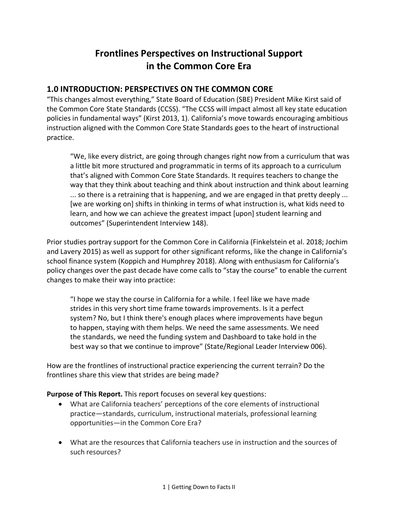# **Frontlines Perspectives on Instructional Support in the Common Core Era**

### **1.0 INTRODUCTION: PERSPECTIVES ON THE COMMON CORE**

"This changes almost everything," State Board of Education (SBE) President Mike Kirst said of the Common Core State Standards (CCSS). "The CCSS will impact almost all key state education policies in fundamental ways" (Kirst 2013, 1). California's move towards encouraging ambitious instruction aligned with the Common Core State Standards goes to the heart of instructional practice.

"We, like every district, are going through changes right now from a curriculum that was a little bit more structured and programmatic in terms of its approach to a curriculum that's aligned with Common Core State Standards. It requires teachers to change the way that they think about teaching and think about instruction and think about learning ... so there is a retraining that is happening, and we are engaged in that pretty deeply ... [we are working on] shifts in thinking in terms of what instruction is, what kids need to learn, and how we can achieve the greatest impact [upon] student learning and outcomes" (Superintendent Interview 148).

Prior studies portray support for the Common Core in California (Finkelstein et al. 2018; Jochim and Lavery 2015) as well as support for other significant reforms, like the change in California's school finance system (Koppich and Humphrey 2018). Along with enthusiasm for California's policy changes over the past decade have come calls to "stay the course" to enable the current changes to make their way into practice:

"I hope we stay the course in California for a while. I feel like we have made strides in this very short time frame towards improvements. Is it a perfect system? No, but I think there's enough places where improvements have begun to happen, staying with them helps. We need the same assessments. We need the standards, we need the funding system and Dashboard to take hold in the best way so that we continue to improve" (State/Regional Leader Interview 006).

How are the frontlines of instructional practice experiencing the current terrain? Do the frontlines share this view that strides are being made?

### **Purpose of This Report.** This report focuses on several key questions:

- What are California teachers' perceptions of the core elements of instructional practice—standards, curriculum, instructional materials, professional learning opportunities—in the Common Core Era?
- What are the resources that California teachers use in instruction and the sources of such resources?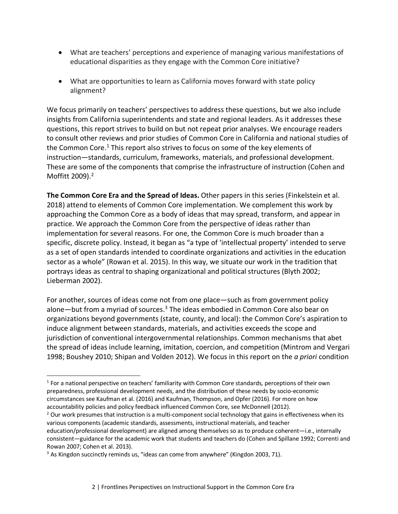- What are teachers' perceptions and experience of managing various manifestations of educational disparities as they engage with the Common Core initiative?
- What are opportunities to learn as California moves forward with state policy alignment?

We focus primarily on teachers' perspectives to address these questions, but we also include insights from California superintendents and state and regional leaders. As it addresses these questions, this report strives to build on but not repeat prior analyses. We encourage readers to consult other reviews and prior studies of Common Core in California and national studies of the Common Core.<sup>1</sup> This report also strives to focus on some of the key elements of instruction—standards, curriculum, frameworks, materials, and professional development. These are some of the components that comprise the infrastructure of instruction (Cohen and Moffitt 2009).<sup>2</sup>

**The Common Core Era and the Spread of Ideas.** Other papers in this series (Finkelstein et al. 2018) attend to elements of Common Core implementation. We complement this work by approaching the Common Core as a body of ideas that may spread, transform, and appear in practice. We approach the Common Core from the perspective of ideas rather than implementation for several reasons. For one, the Common Core is much broader than a specific, discrete policy. Instead, it began as "a type of 'intellectual property' intended to serve as a set of open standards intended to coordinate organizations and activities in the education sector as a whole" (Rowan et al. 2015). In this way, we situate our work in the tradition that portrays ideas as central to shaping organizational and political structures (Blyth 2002; Lieberman 2002).

For another, sources of ideas come not from one place—such as from government policy alone—but from a myriad of sources.<sup>3</sup> The ideas embodied in Common Core also bear on organizations beyond governments (state, county, and local): the Common Core's aspiration to induce alignment between standards, materials, and activities exceeds the scope and jurisdiction of conventional intergovernmental relationships. Common mechanisms that abet the spread of ideas include learning, imitation, coercion, and competition (Mintrom and Vergari 1998; Boushey 2010; Shipan and Volden 2012). We focus in this report on the *a priori* condition

 $2$  Our work presumes that instruction is a multi-component social technology that gains in effectiveness when its various components (academic standards, assessments, instructional materials, and teacher education/professional development) are aligned among themselves so as to produce coherent—i.e., internally consistent—guidance for the academic work that students and teachers do (Cohen and Spillane 1992; Correnti and Rowan 2007; Cohen et al. 2013).

<sup>1</sup> For a national perspective on teachers' familiarity with Common Core standards, perceptions of their own preparedness, professional development needs, and the distribution of these needs by socio-economic circumstances see Kaufman et al. (2016) and Kaufman, Thompson, and Opfer (2016). For more on how accountability policies and policy feedback influenced Common Core, see McDonnell (2012).

 $3$  As Kingdon succinctly reminds us, "ideas can come from anywhere" (Kingdon 2003, 71).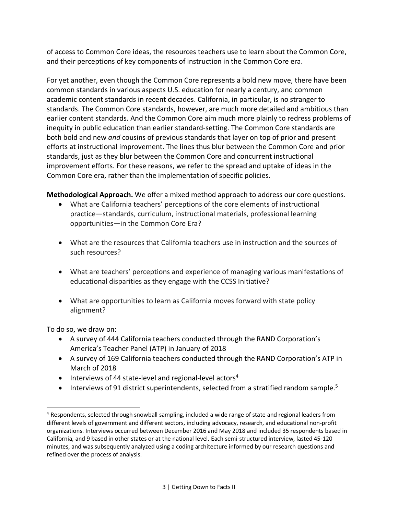of access to Common Core ideas, the resources teachers use to learn about the Common Core, and their perceptions of key components of instruction in the Common Core era.

For yet another, even though the Common Core represents a bold new move, there have been common standards in various aspects U.S. education for nearly a century, and common academic content standards in recent decades. California, in particular, is no stranger to standards. The Common Core standards, however, are much more detailed and ambitious than earlier content standards. And the Common Core aim much more plainly to redress problems of inequity in public education than earlier standard-setting. The Common Core standards are both bold and new *and* cousins of previous standards that layer on top of prior and present efforts at instructional improvement. The lines thus blur between the Common Core and prior standards, just as they blur between the Common Core and concurrent instructional improvement efforts. For these reasons, we refer to the spread and uptake of ideas in the Common Core era, rather than the implementation of specific policies.

**Methodological Approach.** We offer a mixed method approach to address our core questions.

- What are California teachers' perceptions of the core elements of instructional practice—standards, curriculum, instructional materials, professional learning opportunities—in the Common Core Era?
- What are the resources that California teachers use in instruction and the sources of such resources?
- What are teachers' perceptions and experience of managing various manifestations of educational disparities as they engage with the CCSS Initiative?
- What are opportunities to learn as California moves forward with state policy alignment?

To do so, we draw on:

- A survey of 444 California teachers conducted through the RAND Corporation's America's Teacher Panel (ATP) in January of 2018
- A survey of 169 California teachers conducted through the RAND Corporation's ATP in March of 2018
- $\bullet$  Interviews of 44 state-level and regional-level actors<sup>4</sup>
- Interviews of 91 district superintendents, selected from a stratified random sample.<sup>5</sup>

<sup>4</sup> Respondents, selected through snowball sampling, included a wide range of state and regional leaders from different levels of government and different sectors, including advocacy, research, and educational non-profit organizations. Interviews occurred between December 2016 and May 2018 and included 35 respondents based in California, and 9 based in other states or at the national level. Each semi-structured interview, lasted 45-120 minutes, and was subsequently analyzed using a coding architecture informed by our research questions and refined over the process of analysis.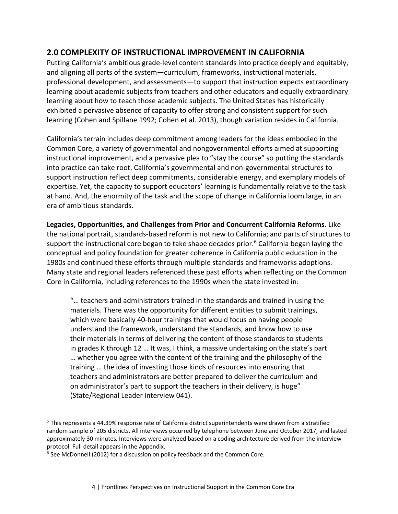### **2.0 COMPLEXITY OF INSTRUCTIONAL IMPROVEMENT IN CALIFORNIA**

Putting California's ambitious grade-level content standards into practice deeply and equitably, and aligning all parts of the system—curriculum, frameworks, instructional materials, professional development, and assessments—to support that instruction expects extraordinary learning about academic subjects from teachers and other educators and equally extraordinary learning about how to teach those academic subjects. The United States has historically exhibited a pervasive absence of capacity to offer strong and consistent support for such learning (Cohen and Spillane 1992; Cohen et al. 2013), though variation resides in California.

California's terrain includes deep commitment among leaders for the ideas embodied in the Common Core, a variety of governmental and nongovernmental efforts aimed at supporting instructional improvement, and a pervasive plea to "stay the course" so putting the standards into practice can take root. California's governmental and non-governmental structures to support instruction reflect deep commitments, considerable energy, and exemplary models of expertise. Yet, the capacity to support educators' learning is fundamentally relative to the task at hand. And, the enormity of the task and the scope of change in California loom large, in an era of ambitious standards.

**Legacies, Opportunities, and Challenges from Prior and Concurrent California Reforms.** Like the national portrait, standards-based reform is not new to California; and parts of structures to support the instructional core began to take shape decades prior.<sup>6</sup> California began laying the conceptual and policy foundation for greater coherence in California public education in the 1980s and continued these efforts through multiple standards and frameworks adoptions. Many state and regional leaders referenced these past efforts when reflecting on the Common Core in California, including references to the 1990s when the state invested in:

"… teachers and administrators trained in the standards and trained in using the materials. There was the opportunity for different entities to submit trainings, which were basically 40-hour trainings that would focus on having people understand the framework, understand the standards, and know how to use their materials in terms of delivering the content of those standards to students in grades K through 12 … It was, I think, a massive undertaking on the state's part … whether you agree with the content of the training and the philosophy of the training … the idea of investing those kinds of resources into ensuring that teachers and administrators are better prepared to deliver the curriculum and on administrator's part to support the teachers in their delivery, is huge" (State/Regional Leader Interview 041).

<u> 1989 - Andrea San Andrea San Andrea San Andrea San Andrea San Andrea San Andrea San Andrea San Andrea San An</u>

<sup>5</sup> This represents a 44.39% response rate of California district superintendents were drawn from a stratified random sample of 205 districts. All interviews occurred by telephone between June and October 2017, and lasted approximately 30 minutes. Interviews were analyzed based on a coding architecture derived from the interview protocol. Full detail appears in the Appendix.

<sup>&</sup>lt;sup>6</sup> See McDonnell (2012) for a discussion on policy feedback and the Common Core.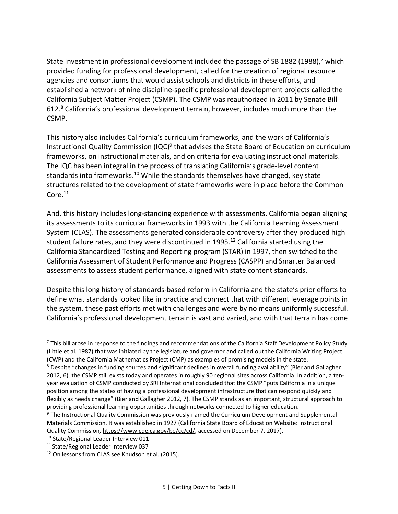State investment in professional development included the passage of SB 1882 (1988),<sup>7</sup> which provided funding for professional development, called for the creation of regional resource agencies and consortiums that would assist schools and districts in these efforts, and established a network of nine discipline-specific professional development projects called the California Subject Matter Project (CSMP). The CSMP was reauthorized in 2011 by Senate Bill 612.8 California's professional development terrain, however, includes much more than the CSMP.

This history also includes California's curriculum frameworks, and the work of California's Instructional Quality Commission (IQC)<sup>9</sup> that advises the State Board of Education on curriculum frameworks, on instructional materials, and on criteria for evaluating instructional materials. The IQC has been integral in the process of translating California's grade-level content standards into frameworks.<sup>10</sup> While the standards themselves have changed, key state structures related to the development of state frameworks were in place before the Common Core. 11

And, this history includes long-standing experience with assessments. California began aligning its assessments to its curricular frameworks in 1993 with the California Learning Assessment System (CLAS). The assessments generated considerable controversy after they produced high student failure rates, and they were discontinued in 1995.<sup>12</sup> California started using the California Standardized Testing and Reporting program (STAR) in 1997, then switched to the California Assessment of Student Performance and Progress (CASPP) and Smarter Balanced assessments to assess student performance, aligned with state content standards.

Despite this long history of standards-based reform in California and the state's prior efforts to define what standards looked like in practice and connect that with different leverage points in the system, these past efforts met with challenges and were by no means uniformly successful. California's professional development terrain is vast and varied, and with that terrain has come

<sup>10</sup> State/Regional Leader Interview 011

<sup>&</sup>lt;sup>7</sup> This bill arose in response to the findings and recommendations of the California Staff Development Policy Study (Little et al. 1987) that was initiated by the legislature and governor and called out the California Writing Project (CWP) and the California Mathematics Project (CMP) as examples of promising models in the state.

<sup>&</sup>lt;sup>8</sup> Despite "changes in funding sources and significant declines in overall funding availability" (Bier and Gallagher 2012, 6), the CSMP still exists today and operates in roughly 90 regional sites across California. In addition, a tenyear evaluation of CSMP conducted by SRI International concluded that the CSMP "puts California in a unique position among the states of having a professional development infrastructure that can respond quickly and flexibly as needs change" (Bier and Gallagher 2012, 7). The CSMP stands as an important, structural approach to providing professional learning opportunities through networks connected to higher education.

<sup>9</sup> The Instructional Quality Commission was previously named the Curriculum Development and Supplemental Materials Commission. It was established in 1927 (California State Board of Education Website: Instructional Quality Commission, https://www.cde.ca.gov/be/cc/cd/, accessed on December 7, 2017).

<sup>11</sup> State/Regional Leader Interview 037

<sup>&</sup>lt;sup>12</sup> On lessons from CLAS see Knudson et al. (2015).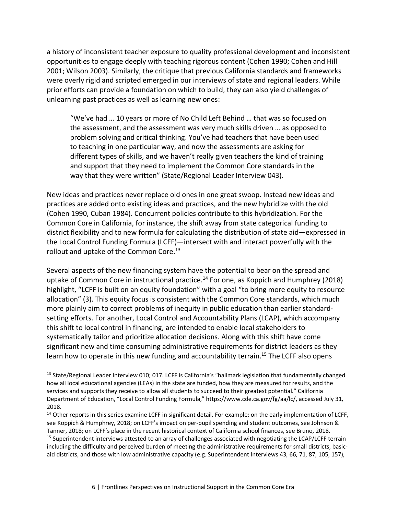a history of inconsistent teacher exposure to quality professional development and inconsistent opportunities to engage deeply with teaching rigorous content (Cohen 1990; Cohen and Hill 2001; Wilson 2003). Similarly, the critique that previous California standards and frameworks were overly rigid and scripted emerged in our interviews of state and regional leaders. While prior efforts can provide a foundation on which to build, they can also yield challenges of unlearning past practices as well as learning new ones:

"We've had … 10 years or more of No Child Left Behind … that was so focused on the assessment, and the assessment was very much skills driven … as opposed to problem solving and critical thinking. You've had teachers that have been used to teaching in one particular way, and now the assessments are asking for different types of skills, and we haven't really given teachers the kind of training and support that they need to implement the Common Core standards in the way that they were written" (State/Regional Leader Interview 043).

New ideas and practices never replace old ones in one great swoop. Instead new ideas and practices are added onto existing ideas and practices, and the new hybridize with the old (Cohen 1990, Cuban 1984). Concurrent policies contribute to this hybridization. For the Common Core in California, for instance, the shift away from state categorical funding to district flexibility and to new formula for calculating the distribution of state aid—expressed in the Local Control Funding Formula (LCFF)—intersect with and interact powerfully with the rollout and uptake of the Common Core.<sup>13</sup>

Several aspects of the new financing system have the potential to bear on the spread and uptake of Common Core in instructional practice.<sup>14</sup> For one, as Koppich and Humphrey (2018) highlight, "LCFF is built on an equity foundation" with a goal "to bring more equity to resource allocation" (3). This equity focus is consistent with the Common Core standards, which much more plainly aim to correct problems of inequity in public education than earlier standardsetting efforts. For another, Local Control and Accountability Plans (LCAP), which accompany this shift to local control in financing, are intended to enable local stakeholders to systematically tailor and prioritize allocation decisions. Along with this shift have come significant new and time consuming administrative requirements for district leaders as they learn how to operate in this new funding and accountability terrain.<sup>15</sup> The LCFF also opens

<sup>&</sup>lt;sup>13</sup> State/Regional Leader Interview 010; 017. LCFF is California's "hallmark legislation that fundamentally changed how all local educational agencies (LEAs) in the state are funded, how they are measured for results, and the services and supports they receive to allow all students to succeed to their greatest potential." California Department of Education, "Local Control Funding Formula," https://www.cde.ca.gov/fg/aa/lc/, accessed July 31, 2018.

<sup>&</sup>lt;sup>14</sup> Other reports in this series examine LCFF in significant detail. For example: on the early implementation of LCFF, see Koppich & Humphrey, 2018; on LCFF's impact on per-pupil spending and student outcomes, see Johnson & Tanner, 2018; on LCFF's place in the recent historical context of California school finances, see Bruno, 2018. <sup>15</sup> Superintendent interviews attested to an array of challenges associated with negotiating the LCAP/LCFF terrain including the difficulty and perceived burden of meeting the administrative requirements for small districts, basicaid districts, and those with low administrative capacity (e.g. Superintendent Interviews 43, 66, 71, 87, 105, 157),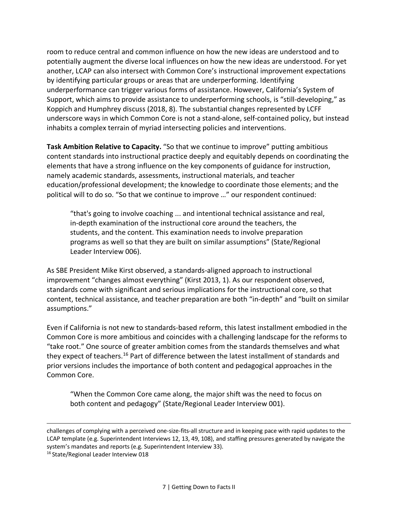room to reduce central and common influence on how the new ideas are understood and to potentially augment the diverse local influences on how the new ideas are understood. For yet another, LCAP can also intersect with Common Core's instructional improvement expectations by identifying particular groups or areas that are underperforming. Identifying underperformance can trigger various forms of assistance. However, California's System of Support, which aims to provide assistance to underperforming schools, is "still-developing," as Koppich and Humphrey discuss (2018, 8). The substantial changes represented by LCFF underscore ways in which Common Core is not a stand-alone, self-contained policy, but instead inhabits a complex terrain of myriad intersecting policies and interventions.

**Task Ambition Relative to Capacity.** "So that we continue to improve" putting ambitious content standards into instructional practice deeply and equitably depends on coordinating the elements that have a strong influence on the key components of guidance for instruction, namely academic standards, assessments, instructional materials, and teacher education/professional development; the knowledge to coordinate those elements; and the political will to do so. "So that we continue to improve …" our respondent continued:

"that's going to involve coaching ... and intentional technical assistance and real, in-depth examination of the instructional core around the teachers, the students, and the content. This examination needs to involve preparation programs as well so that they are built on similar assumptions" (State/Regional Leader Interview 006).

As SBE President Mike Kirst observed, a standards-aligned approach to instructional improvement "changes almost everything" (Kirst 2013, 1). As our respondent observed, standards come with significant and serious implications for the instructional core, so that content, technical assistance, and teacher preparation are both "in-depth" and "built on similar assumptions."

Even if California is not new to standards-based reform, this latest installment embodied in the Common Core is more ambitious and coincides with a challenging landscape for the reforms to "take root." One source of greater ambition comes from the standards themselves and what they expect of teachers.<sup>16</sup> Part of difference between the latest installment of standards and prior versions includes the importance of both content and pedagogical approaches in the Common Core.

"When the Common Core came along, the major shift was the need to focus on both content and pedagogy" (State/Regional Leader Interview 001).

<u> 1989 - Andrea Santa Andrea Santa Andrea Santa Andrea Santa Andrea Santa Andrea Santa Andrea Santa Andrea San</u>

challenges of complying with a perceived one-size-fits-all structure and in keeping pace with rapid updates to the LCAP template (e.g. Superintendent Interviews 12, 13, 49, 108), and staffing pressures generated by navigate the system's mandates and reports (e.g. Superintendent Interview 33).

<sup>&</sup>lt;sup>16</sup> State/Regional Leader Interview 018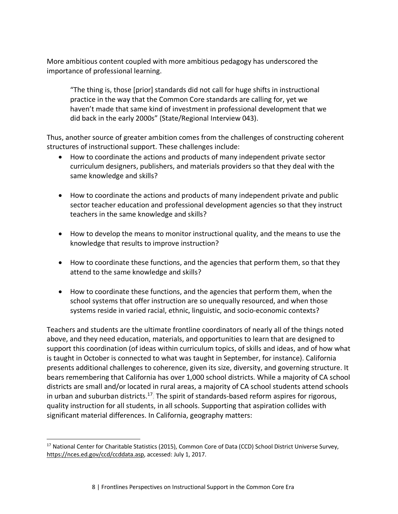More ambitious content coupled with more ambitious pedagogy has underscored the importance of professional learning.

"The thing is, those [prior] standards did not call for huge shifts in instructional practice in the way that the Common Core standards are calling for, yet we haven't made that same kind of investment in professional development that we did back in the early 2000s" (State/Regional Interview 043).

Thus, another source of greater ambition comes from the challenges of constructing coherent structures of instructional support. These challenges include:

- How to coordinate the actions and products of many independent private sector curriculum designers, publishers, and materials providers so that they deal with the same knowledge and skills?
- How to coordinate the actions and products of many independent private and public sector teacher education and professional development agencies so that they instruct teachers in the same knowledge and skills?
- How to develop the means to monitor instructional quality, and the means to use the knowledge that results to improve instruction?
- How to coordinate these functions, and the agencies that perform them, so that they attend to the same knowledge and skills?
- How to coordinate these functions, and the agencies that perform them, when the school systems that offer instruction are so unequally resourced, and when those systems reside in varied racial, ethnic, linguistic, and socio-economic contexts?

Teachers and students are the ultimate frontline coordinators of nearly all of the things noted above, and they need education, materials, and opportunities to learn that are designed to support this coordination (of ideas within curriculum topics, of skills and ideas, and of how what is taught in October is connected to what was taught in September, for instance). California presents additional challenges to coherence, given its size, diversity, and governing structure. It bears remembering that California has over 1,000 school districts. While a majority of CA school districts are small and/or located in rural areas, a majority of CA school students attend schools in urban and suburban districts.<sup>17</sup>. The spirit of standards-based reform aspires for rigorous, quality instruction for all students, in all schools. Supporting that aspiration collides with significant material differences. In California, geography matters:

<sup>&</sup>lt;sup>17</sup> National Center for Charitable Statistics (2015), Common Core of Data (CCD) School District Universe Survey, https://nces.ed.gov/ccd/ccddata.asp, accessed: July 1, 2017.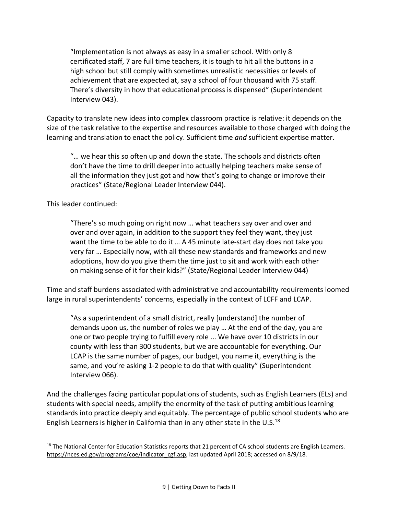"Implementation is not always as easy in a smaller school. With only 8 certificated staff, 7 are full time teachers, it is tough to hit all the buttons in a high school but still comply with sometimes unrealistic necessities or levels of achievement that are expected at, say a school of four thousand with 75 staff. There's diversity in how that educational process is dispensed" (Superintendent Interview 043).

Capacity to translate new ideas into complex classroom practice is relative: it depends on the size of the task relative to the expertise and resources available to those charged with doing the learning and translation to enact the policy. Sufficient time *and* sufficient expertise matter.

"… we hear this so often up and down the state. The schools and districts often don't have the time to drill deeper into actually helping teachers make sense of all the information they just got and how that's going to change or improve their practices" (State/Regional Leader Interview 044).

This leader continued:

 

"There's so much going on right now … what teachers say over and over and over and over again, in addition to the support they feel they want, they just want the time to be able to do it … A 45 minute late-start day does not take you very far … Especially now, with all these new standards and frameworks and new adoptions, how do you give them the time just to sit and work with each other on making sense of it for their kids?" (State/Regional Leader Interview 044)

Time and staff burdens associated with administrative and accountability requirements loomed large in rural superintendents' concerns, especially in the context of LCFF and LCAP.

"As a superintendent of a small district, really [understand] the number of demands upon us, the number of roles we play … At the end of the day, you are one or two people trying to fulfill every role ... We have over 10 districts in our county with less than 300 students, but we are accountable for everything. Our LCAP is the same number of pages, our budget, you name it, everything is the same, and you're asking 1-2 people to do that with quality" (Superintendent Interview 066).

And the challenges facing particular populations of students, such as English Learners (ELs) and students with special needs, amplify the enormity of the task of putting ambitious learning standards into practice deeply and equitably. The percentage of public school students who are English Learners is higher in California than in any other state in the U.S.<sup>18</sup>

 $18$  The National Center for Education Statistics reports that 21 percent of CA school students are English Learners. https://nces.ed.gov/programs/coe/indicator\_cgf.asp, last updated April 2018; accessed on 8/9/18.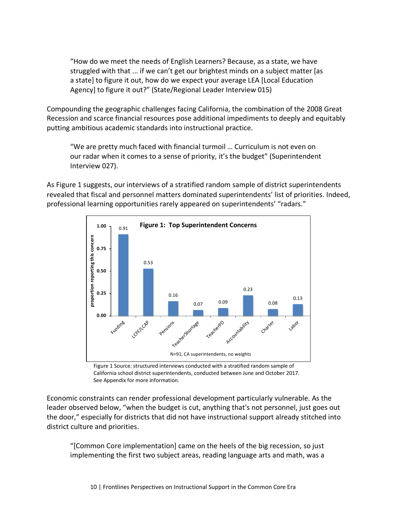"How do we meet the needs of English Learners? Because, as a state, we have struggled with that ... if we can't get our brightest minds on a subject matter [as a state] to figure it out, how do we expect your average LEA [Local Education Agency] to figure it out?" (State/Regional Leader Interview 015)

Compounding the geographic challenges facing California, the combination of the 2008 Great Recession and scarce financial resources pose additional impediments to deeply and equitably putting ambitious academic standards into instructional practice.

"We are pretty much faced with financial turmoil … Curriculum is not even on our radar when it comes to a sense of priority, it's the budget" (Superintendent Interview 027).

As Figure 1 suggests, our interviews of a stratified random sample of district superintendents revealed that fiscal and personnel matters dominated superintendents' list of priorities. Indeed, professional learning opportunities rarely appeared on superintendents' "radars."



Figure 1 Source: structured interviews conducted with a stratified random sample of California school district superintendents, conducted between June and October 2017. See Appendix for more information.

Economic constraints can render professional development particularly vulnerable. As the leader observed below, "when the budget is cut, anything that's not personnel, just goes out the door," especially for districts that did not have instructional support already stitched into district culture and priorities.

"[Common Core implementation] came on the heels of the big recession, so just implementing the first two subject areas, reading language arts and math, was a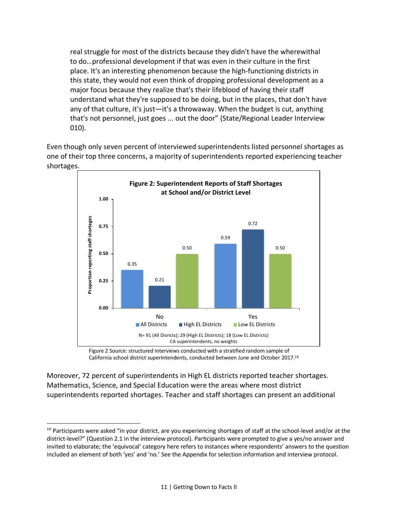real struggle for most of the districts because they didn't have the wherewithal to do…professional development if that was even in their culture in the first place. It's an interesting phenomenon because the high-functioning districts in this state, they would not even think of dropping professional development as a major focus because they realize that's their lifeblood of having their staff understand what they're supposed to be doing, but in the places, that don't have any of that culture, it's just—it's a throwaway. When the budget is cut, anything that's not personnel, just goes ... out the door" (State/Regional Leader Interview 010).

Even though only seven percent of interviewed superintendents listed personnel shortages as one of their top three concerns, a majority of superintendents reported experiencing teacher shortages.



Figure 2 Source: structured interviews conducted with a stratified random sample of California school district superintendents, conducted between June and October 2017.19

Moreover, 72 percent of superintendents in High EL districts reported teacher shortages. Mathematics, Science, and Special Education were the areas where most district superintendents reported shortages. Teacher and staff shortages can present an additional

<sup>&</sup>lt;sup>19</sup> Participants were asked "in your district, are you experiencing shortages of staff at the school-level and/or at the district-level?" (Question 2.1 in the interview protocol). Participants were prompted to give a yes/no answer and invited to elaborate; the 'equivocal' category here refers to instances where respondents' answers to the question included an element of both 'yes' and 'no.' See the Appendix for selection information and interview protocol.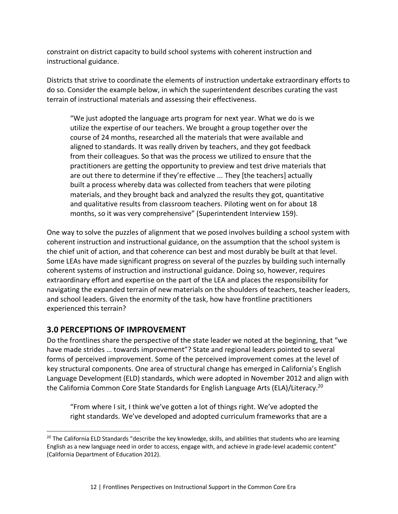constraint on district capacity to build school systems with coherent instruction and instructional guidance.

Districts that strive to coordinate the elements of instruction undertake extraordinary efforts to do so. Consider the example below, in which the superintendent describes curating the vast terrain of instructional materials and assessing their effectiveness.

"We just adopted the language arts program for next year. What we do is we utilize the expertise of our teachers. We brought a group together over the course of 24 months, researched all the materials that were available and aligned to standards. It was really driven by teachers, and they got feedback from their colleagues. So that was the process we utilized to ensure that the practitioners are getting the opportunity to preview and test drive materials that are out there to determine if they're effective ... They [the teachers] actually built a process whereby data was collected from teachers that were piloting materials, and they brought back and analyzed the results they got, quantitative and qualitative results from classroom teachers. Piloting went on for about 18 months, so it was very comprehensive" (Superintendent Interview 159).

One way to solve the puzzles of alignment that we posed involves building a school system with coherent instruction and instructional guidance, on the assumption that the school system is the chief unit of action, and that coherence can best and most durably be built at that level. Some LEAs have made significant progress on several of the puzzles by building such internally coherent systems of instruction and instructional guidance. Doing so, however, requires extraordinary effort and expertise on the part of the LEA and places the responsibility for navigating the expanded terrain of new materials on the shoulders of teachers, teacher leaders, and school leaders. Given the enormity of the task, how have frontline practitioners experienced this terrain?

### **3.0 PERCEPTIONS OF IMPROVEMENT**

 

Do the frontlines share the perspective of the state leader we noted at the beginning, that "we have made strides … towards improvement"? State and regional leaders pointed to several forms of perceived improvement. Some of the perceived improvement comes at the level of key structural components. One area of structural change has emerged in California's English Language Development (ELD) standards, which were adopted in November 2012 and align with the California Common Core State Standards for English Language Arts (ELA)/Literacy.<sup>20</sup>

"From where I sit, I think we've gotten a lot of things right. We've adopted the right standards. We've developed and adopted curriculum frameworks that are a

<sup>&</sup>lt;sup>20</sup> The California ELD Standards "describe the key knowledge, skills, and abilities that students who are learning English as a new language need in order to access, engage with, and achieve in grade-level academic content" (California Department of Education 2012).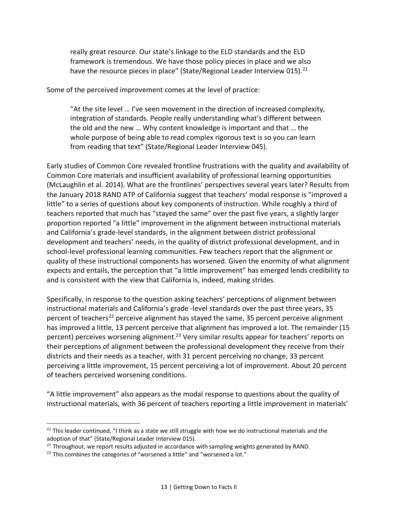really great resource. Our state's linkage to the ELD standards and the ELD framework is tremendous. We have those policy pieces in place and we also have the resource pieces in place" (State/Regional Leader Interview 015).<sup>21</sup>

Some of the perceived improvement comes at the level of practice:

"At the site level … I've seen movement in the direction of increased complexity, integration of standards. People really understanding what's different between the old and the new … Why content knowledge is important and that … the whole purpose of being able to read complex rigorous text is so you can learn from reading that text" (State/Regional Leader Interview 045).

Early studies of Common Core revealed frontline frustrations with the quality and availability of Common Core materials and insufficient availability of professional learning opportunities (McLaughlin et al. 2014). What are the frontlines' perspectives several years later? Results from the January 2018 RAND ATP of California suggest that teachers' modal response is "improved a little" to a series of questions about key components of instruction. While roughly a third of teachers reported that much has "stayed the same" over the past five years, a slightly larger proportion reported "a little" improvement in the alignment between instructional materials and California's grade-level standards, in the alignment between district professional development and teachers' needs, in the quality of district professional development, and in school-level professional learning communities. Few teachers report that the alignment or quality of these instructional components has worsened. Given the enormity of what alignment expects and entails, the perception that "a little improvement" has emerged lends credibility to and is consistent with the view that California is, indeed, making strides.

Specifically, in response to the question asking teachers' perceptions of alignment between instructional materials and California's grade -level standards over the past three years, 35 percent of teachers<sup>22</sup> perceive alignment has stayed the same, 35 percent perceive alignment has improved a little, 13 percent perceive that alignment has improved a lot. The remainder (15 percent) perceives worsening alignment.<sup>23</sup> Very similar results appear for teachers' reports on their perceptions of alignment between the professional development they receive from their districts and their needs as a teacher, with 31 percent perceiving no change, 33 percent perceiving a little improvement, 15 percent perceiving a lot of improvement. About 20 percent of teachers perceived worsening conditions.

"A little improvement" also appears as the modal response to questions about the quality of instructional materials, with 36 percent of teachers reporting a little improvement in materials'

 $21$  This leader continued, "I think as a state we still struggle with how we do instructional materials and the adoption of that" (State/Regional Leader Interview 015).

<sup>&</sup>lt;sup>22</sup> Throughout, we report results adjusted in accordance with sampling weights generated by RAND.

 $23$  This combines the categories of "worsened a little" and "worsened a lot."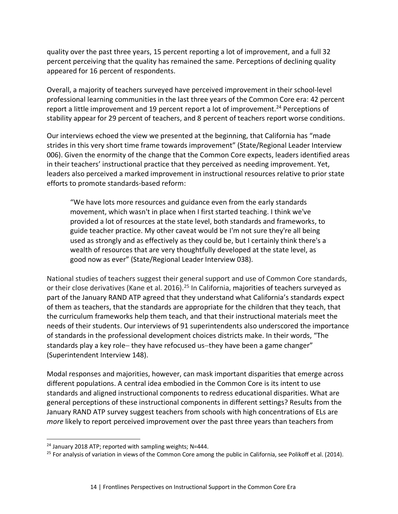quality over the past three years, 15 percent reporting a lot of improvement, and a full 32 percent perceiving that the quality has remained the same. Perceptions of declining quality appeared for 16 percent of respondents.

Overall, a majority of teachers surveyed have perceived improvement in their school-level professional learning communities in the last three years of the Common Core era: 42 percent report a little improvement and 19 percent report a lot of improvement.<sup>24</sup> Perceptions of stability appear for 29 percent of teachers, and 8 percent of teachers report worse conditions.

Our interviews echoed the view we presented at the beginning, that California has "made strides in this very short time frame towards improvement" (State/Regional Leader Interview 006). Given the enormity of the change that the Common Core expects, leaders identified areas in their teachers' instructional practice that they perceived as needing improvement. Yet, leaders also perceived a marked improvement in instructional resources relative to prior state efforts to promote standards-based reform:

"We have lots more resources and guidance even from the early standards movement, which wasn't in place when I first started teaching. I think we've provided a lot of resources at the state level, both standards and frameworks, to guide teacher practice. My other caveat would be I'm not sure they're all being used as strongly and as effectively as they could be, but I certainly think there's a wealth of resources that are very thoughtfully developed at the state level, as good now as ever" (State/Regional Leader Interview 038).

National studies of teachers suggest their general support and use of Common Core standards, or their close derivatives (Kane et al. 2016).<sup>25</sup> In California, majorities of teachers surveyed as part of the January RAND ATP agreed that they understand what California's standards expect of them as teachers, that the standards are appropriate for the children that they teach, that the curriculum frameworks help them teach, and that their instructional materials meet the needs of their students. Our interviews of 91 superintendents also underscored the importance of standards in the professional development choices districts make. In their words, "The standards play a key role- they have refocused us-they have been a game changer" (Superintendent Interview 148).

Modal responses and majorities, however, can mask important disparities that emerge across different populations. A central idea embodied in the Common Core is its intent to use standards and aligned instructional components to redress educational disparities. What are general perceptions of these instructional components in different settings? Results from the January RAND ATP survey suggest teachers from schools with high concentrations of ELs are *more* likely to report perceived improvement over the past three years than teachers from

<sup>&</sup>lt;sup>24</sup> January 2018 ATP; reported with sampling weights; N=444.

 $25$  For analysis of variation in views of the Common Core among the public in California, see Polikoff et al. (2014).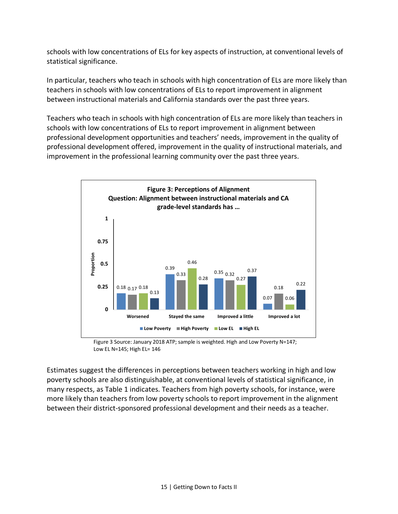schools with low concentrations of ELs for key aspects of instruction, at conventional levels of statistical significance.

In particular, teachers who teach in schools with high concentration of ELs are more likely than teachers in schools with low concentrations of ELs to report improvement in alignment between instructional materials and California standards over the past three years.

Teachers who teach in schools with high concentration of ELs are more likely than teachers in schools with low concentrations of ELs to report improvement in alignment between professional development opportunities and teachers' needs, improvement in the quality of professional development offered, improvement in the quality of instructional materials, and improvement in the professional learning community over the past three years.



Figure 3 Source: January 2018 ATP; sample is weighted. High and Low Poverty N=147; Low EL N=145; High EL= 146

Estimates suggest the differences in perceptions between teachers working in high and low poverty schools are also distinguishable, at conventional levels of statistical significance, in many respects, as Table 1 indicates. Teachers from high poverty schools, for instance, were more likely than teachers from low poverty schools to report improvement in the alignment between their district-sponsored professional development and their needs as a teacher.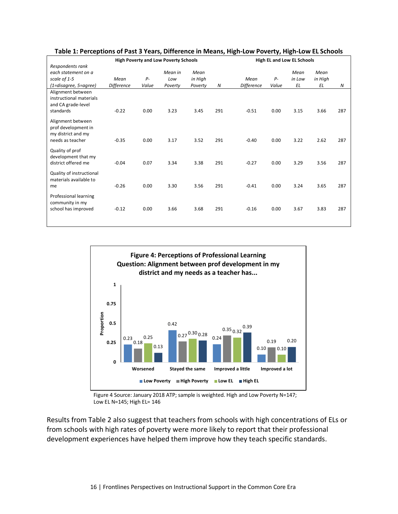| <b>High Poverty and Low Poverty Schools</b>                                        |                           |               |                           |                            |     |                           | <b>High EL and Low EL Schools</b> |                      |                       |                  |
|------------------------------------------------------------------------------------|---------------------------|---------------|---------------------------|----------------------------|-----|---------------------------|-----------------------------------|----------------------|-----------------------|------------------|
| Respondents rank<br>each statement on a<br>scale of 1-5<br>(1=disagree, 5=agree)   | Mean<br><b>Difference</b> | $P-$<br>Value | Mean in<br>Low<br>Poverty | Mean<br>in High<br>Poverty | N   | Mean<br><b>Difference</b> | P-<br>Value                       | Mean<br>in Low<br>EL | Mean<br>in High<br>ΕL | $\boldsymbol{N}$ |
| Alignment between<br>instructional materials<br>and CA grade-level<br>standards    | $-0.22$                   | 0.00          | 3.23                      | 3.45                       | 291 | $-0.51$                   | 0.00                              | 3.15                 | 3.66                  | 287              |
| Alignment between<br>prof development in<br>my district and my<br>needs as teacher | $-0.35$                   | 0.00          | 3.17                      | 3.52                       | 291 | $-0.40$                   | 0.00                              | 3.22                 | 2.62                  | 287              |
| Quality of prof<br>development that my<br>district offered me                      | $-0.04$                   | 0.07          | 3.34                      | 3.38                       | 291 | $-0.27$                   | 0.00                              | 3.29                 | 3.56                  | 287              |
| Quality of instructional<br>materials available to<br>me                           | $-0.26$                   | 0.00          | 3.30                      | 3.56                       | 291 | $-0.41$                   | 0.00                              | 3.24                 | 3.65                  | 287              |
| Professional learning<br>community in my<br>school has improved                    | $-0.12$                   | 0.00          | 3.66                      | 3.68                       | 291 | $-0.16$                   | 0.00                              | 3.67                 | 3.83                  | 287              |

**Table 1: Perceptions of Past 3 Years, Difference in Means, High-Low Poverty, High-Low EL Schools**



Figure 4 Source: January 2018 ATP; sample is weighted. High and Low Poverty N=147; Low EL N=145; High EL= 146

Results from Table 2 also suggest that teachers from schools with high concentrations of ELs or from schools with high rates of poverty were more likely to report that their professional development experiences have helped them improve how they teach specific standards.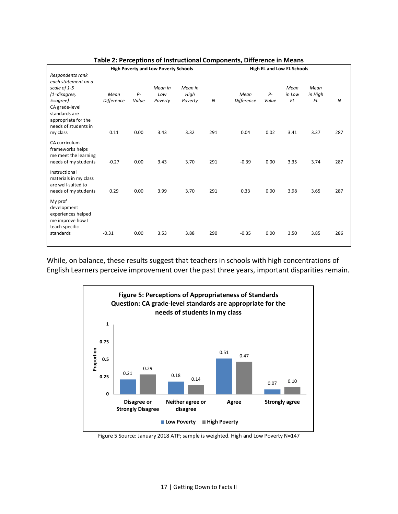| rapic 2. r crecptions or mstructional components, Diricrence in Micans                          |                                                                                  |       |         |         |                  |                   |       |        |         |     |  |
|-------------------------------------------------------------------------------------------------|----------------------------------------------------------------------------------|-------|---------|---------|------------------|-------------------|-------|--------|---------|-----|--|
|                                                                                                 | <b>High Poverty and Low Poverty Schools</b><br><b>High EL and Low EL Schools</b> |       |         |         |                  |                   |       |        |         |     |  |
| Respondents rank                                                                                |                                                                                  |       |         |         |                  |                   |       |        |         |     |  |
| each statement on a                                                                             |                                                                                  |       |         |         |                  |                   |       |        |         |     |  |
| scale of 1-5                                                                                    |                                                                                  |       | Mean in | Mean in |                  |                   |       | Mean   | Mean    |     |  |
| (1=disagree,                                                                                    | Mean                                                                             | P-    | Low     | High    |                  | Mean              | P-    | in Low | in High |     |  |
| 5=agree)                                                                                        | <b>Difference</b>                                                                | Value | Poverty | Poverty | $\boldsymbol{N}$ | <b>Difference</b> | Value | ΕL     | ΕL      | N   |  |
| CA grade-level<br>standards are<br>appropriate for the<br>needs of students in<br>my class      | 0.11                                                                             | 0.00  | 3.43    | 3.32    | 291              | 0.04              | 0.02  | 3.41   | 3.37    | 287 |  |
| CA curriculum<br>frameworks helps<br>me meet the learning<br>needs of my students               | $-0.27$                                                                          | 0.00  | 3.43    | 3.70    | 291              | $-0.39$           | 0.00  | 3.35   | 3.74    | 287 |  |
| Instructional<br>materials in my class<br>are well-suited to<br>needs of my students            | 0.29                                                                             | 0.00  | 3.99    | 3.70    | 291              | 0.33              | 0.00  | 3.98   | 3.65    | 287 |  |
| My prof<br>development<br>experiences helped<br>me improve how I<br>teach specific<br>standards | $-0.31$                                                                          | 0.00  | 3.53    | 3.88    | 290              | $-0.35$           | 0.00  | 3.50   | 3.85    | 286 |  |

#### **Table 2: Perceptions of Instructional Components, Difference in Means**

While, on balance, these results suggest that teachers in schools with high concentrations of English Learners perceive improvement over the past three years, important disparities remain.



Figure 5 Source: January 2018 ATP; sample is weighted. High and Low Poverty N=147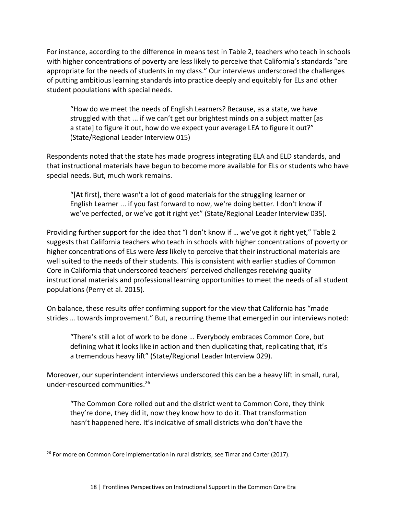For instance, according to the difference in means test in Table 2, teachers who teach in schools with higher concentrations of poverty are less likely to perceive that California's standards "are appropriate for the needs of students in my class." Our interviews underscored the challenges of putting ambitious learning standards into practice deeply and equitably for ELs and other student populations with special needs.

"How do we meet the needs of English Learners? Because, as a state, we have struggled with that ... if we can't get our brightest minds on a subject matter [as a state] to figure it out, how do we expect your average LEA to figure it out?" (State/Regional Leader Interview 015)

Respondents noted that the state has made progress integrating ELA and ELD standards, and that instructional materials have begun to become more available for ELs or students who have special needs. But, much work remains.

"[At first], there wasn't a lot of good materials for the struggling learner or English Learner ... if you fast forward to now, we're doing better. I don't know if we've perfected, or we've got it right yet" (State/Regional Leader Interview 035).

Providing further support for the idea that "I don't know if … we've got it right yet," Table 2 suggests that California teachers who teach in schools with higher concentrations of poverty or higher concentrations of ELs were *less* likely to perceive that their instructional materials are well suited to the needs of their students. This is consistent with earlier studies of Common Core in California that underscored teachers' perceived challenges receiving quality instructional materials and professional learning opportunities to meet the needs of all student populations (Perry et al. 2015).

On balance, these results offer confirming support for the view that California has "made strides … towards improvement." But, a recurring theme that emerged in our interviews noted:

"There's still a lot of work to be done … Everybody embraces Common Core, but defining what it looks like in action and then duplicating that, replicating that, it's a tremendous heavy lift" (State/Regional Leader Interview 029).

Moreover, our superintendent interviews underscored this can be a heavy lift in small, rural, under-resourced communities.26

"The Common Core rolled out and the district went to Common Core, they think they're done, they did it, now they know how to do it. That transformation hasn't happened here. It's indicative of small districts who don't have the

 $26$  For more on Common Core implementation in rural districts, see Timar and Carter (2017).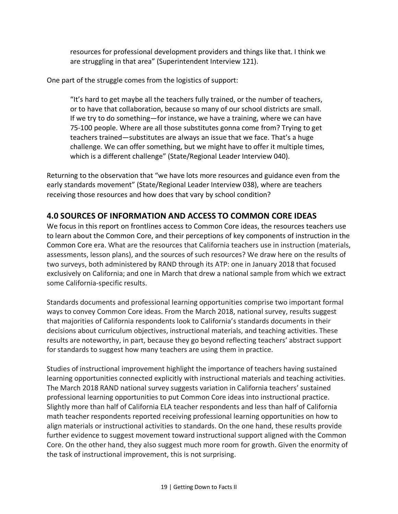resources for professional development providers and things like that. I think we are struggling in that area" (Superintendent Interview 121).

One part of the struggle comes from the logistics of support:

"It's hard to get maybe all the teachers fully trained, or the number of teachers, or to have that collaboration, because so many of our school districts are small. If we try to do something—for instance, we have a training, where we can have 75-100 people. Where are all those substitutes gonna come from? Trying to get teachers trained—substitutes are always an issue that we face. That's a huge challenge. We can offer something, but we might have to offer it multiple times, which is a different challenge" (State/Regional Leader Interview 040).

Returning to the observation that "we have lots more resources and guidance even from the early standards movement" (State/Regional Leader Interview 038), where are teachers receiving those resources and how does that vary by school condition?

### **4.0 SOURCES OF INFORMATION AND ACCESS TO COMMON CORE IDEAS**

We focus in this report on frontlines access to Common Core ideas, the resources teachers use to learn about the Common Core, and their perceptions of key components of instruction in the Common Core era. What are the resources that California teachers use in instruction (materials, assessments, lesson plans), and the sources of such resources? We draw here on the results of two surveys, both administered by RAND through its ATP: one in January 2018 that focused exclusively on California; and one in March that drew a national sample from which we extract some California-specific results.

Standards documents and professional learning opportunities comprise two important formal ways to convey Common Core ideas. From the March 2018, national survey, results suggest that majorities of California respondents look to California's standards documents in their decisions about curriculum objectives, instructional materials, and teaching activities. These results are noteworthy, in part, because they go beyond reflecting teachers' abstract support for standards to suggest how many teachers are using them in practice.

Studies of instructional improvement highlight the importance of teachers having sustained learning opportunities connected explicitly with instructional materials and teaching activities. The March 2018 RAND national survey suggests variation in California teachers' sustained professional learning opportunities to put Common Core ideas into instructional practice. Slightly more than half of California ELA teacher respondents and less than half of California math teacher respondents reported receiving professional learning opportunities on how to align materials or instructional activities to standards. On the one hand, these results provide further evidence to suggest movement toward instructional support aligned with the Common Core. On the other hand, they also suggest much more room for growth. Given the enormity of the task of instructional improvement, this is not surprising.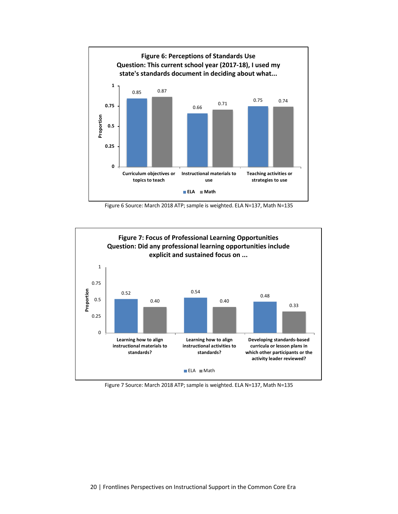

Figure 6 Source: March 2018 ATP; sample is weighted. ELA N=137, Math N=135



Figure 7 Source: March 2018 ATP; sample is weighted. ELA N=137, Math N=135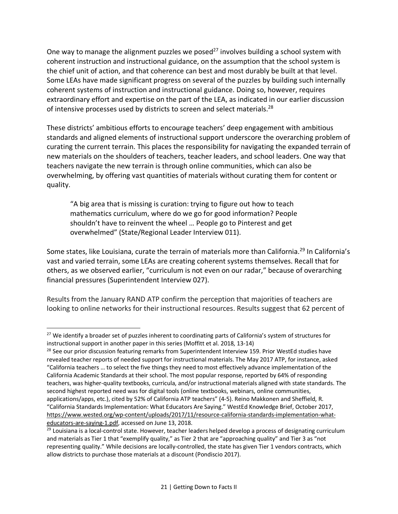One way to manage the alignment puzzles we posed<sup>27</sup> involves building a school system with coherent instruction and instructional guidance, on the assumption that the school system is the chief unit of action, and that coherence can best and most durably be built at that level. Some LEAs have made significant progress on several of the puzzles by building such internally coherent systems of instruction and instructional guidance. Doing so, however, requires extraordinary effort and expertise on the part of the LEA, as indicated in our earlier discussion of intensive processes used by districts to screen and select materials.<sup>28</sup>

These districts' ambitious efforts to encourage teachers' deep engagement with ambitious standards and aligned elements of instructional support underscore the overarching problem of curating the current terrain. This places the responsibility for navigating the expanded terrain of new materials on the shoulders of teachers, teacher leaders, and school leaders. One way that teachers navigate the new terrain is through online communities, which can also be overwhelming, by offering vast quantities of materials without curating them for content or quality.

"A big area that is missing is curation: trying to figure out how to teach mathematics curriculum, where do we go for good information? People shouldn't have to reinvent the wheel … People go to Pinterest and get overwhelmed" (State/Regional Leader Interview 011).

Some states, like Louisiana, curate the terrain of materials more than California.<sup>29</sup> In California's vast and varied terrain, some LEAs are creating coherent systems themselves. Recall that for others, as we observed earlier, "curriculum is not even on our radar," because of overarching financial pressures (Superintendent Interview 027).

Results from the January RAND ATP confirm the perception that majorities of teachers are looking to online networks for their instructional resources. Results suggest that 62 percent of

 <sup>27</sup> We identify a broader set of puzzles inherent to coordinating parts of California's system of structures for instructional support in another paper in this series (Moffitt et al. 2018, 13-14)

<sup>&</sup>lt;sup>28</sup> See our prior discussion featuring remarks from Superintendent Interview 159. Prior WestEd studies have revealed teacher reports of needed support for instructional materials. The May 2017 ATP, for instance, asked "California teachers … to select the five things they need to most effectively advance implementation of the California Academic Standards at their school. The most popular response, reported by 64% of responding teachers, was higher-quality textbooks, curricula, and/or instructional materials aligned with state standards. The second highest reported need was for digital tools (online textbooks, webinars, online communities, applications/apps, etc.), cited by 52% of California ATP teachers" (4-5). Reino Makkonen and Sheffield, R. "California Standards Implementation: What Educators Are Saying." WestEd Knowledge Brief, October 2017, https://www.wested.org/wp-content/uploads/2017/11/resource-california-standards-implementation-whateducators-are-saying-1.pdf, accessed on June 13, 2018.

 $29$  Louisiana is a local-control state. However, teacher leaders helped develop a process of designating curriculum and materials as Tier 1 that "exemplify quality," as Tier 2 that are "approaching quality" and Tier 3 as "not representing quality." While decisions are locally-controlled, the state has given Tier 1 vendors contracts, which allow districts to purchase those materials at a discount (Pondiscio 2017).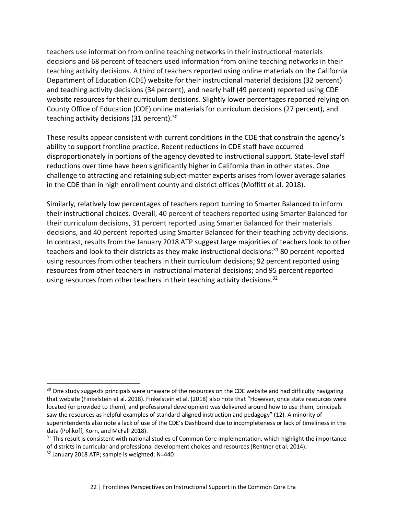teachers use information from online teaching networks in their instructional materials decisions and 68 percent of teachers used information from online teaching networks in their teaching activity decisions. A third of teachers reported using online materials on the California Department of Education (CDE) website for their instructional material decisions (32 percent) and teaching activity decisions (34 percent), and nearly half (49 percent) reported using CDE website resources for their curriculum decisions. Slightly lower percentages reported relying on County Office of Education (COE) online materials for curriculum decisions (27 percent), and teaching activity decisions (31 percent).<sup>30</sup>

These results appear consistent with current conditions in the CDE that constrain the agency's ability to support frontline practice. Recent reductions in CDE staff have occurred disproportionately in portions of the agency devoted to instructional support. State-level staff reductions over time have been significantly higher in California than in other states. One challenge to attracting and retaining subject-matter experts arises from lower average salaries in the CDE than in high enrollment county and district offices (Moffitt et al. 2018).

Similarly, relatively low percentages of teachers report turning to Smarter Balanced to inform their instructional choices. Overall, 40 percent of teachers reported using Smarter Balanced for their curriculum decisions, 31 percent reported using Smarter Balanced for their materials decisions, and 40 percent reported using Smarter Balanced for their teaching activity decisions. In contrast, results from the January 2018 ATP suggest large majorities of teachers look to other teachers and look to their districts as they make instructional decisions:<sup>31</sup> 80 percent reported using resources from other teachers in their curriculum decisions; 92 percent reported using resources from other teachers in instructional material decisions; and 95 percent reported using resources from other teachers in their teaching activity decisions.<sup>32</sup>

<sup>&</sup>lt;sup>30</sup> One study suggests principals were unaware of the resources on the CDE website and had difficulty navigating that website (Finkelstein et al. 2018). Finkelstein et al. (2018) also note that "However, once state resources were located (or provided to them), and professional development was delivered around how to use them, principals saw the resources as helpful examples of standard-aligned instruction and pedagogy" (12). A minority of superintendents also note a lack of use of the CDE's Dashboard due to incompleteness or lack of timeliness in the data (Polikoff, Korn, and McFall 2018).

<sup>&</sup>lt;sup>31</sup> This result is consistent with national studies of Common Core implementation, which highlight the importance of districts in curricular and professional development choices and resources (Rentner et al. 2014).

<sup>&</sup>lt;sup>32</sup> January 2018 ATP; sample is weighted; N=440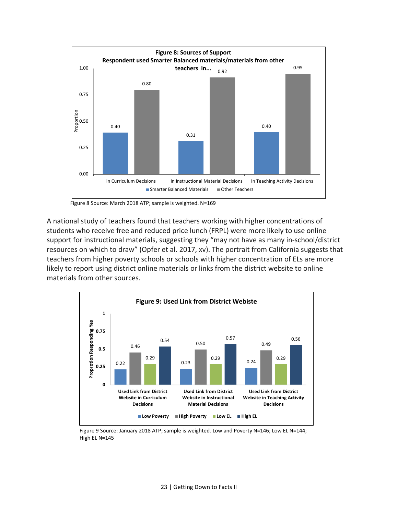

Figure 8 Source: March 2018 ATP; sample is weighted. N=169

A national study of teachers found that teachers working with higher concentrations of students who receive free and reduced price lunch (FRPL) were more likely to use online support for instructional materials, suggesting they "may not have as many in-school/district resources on which to draw" (Opfer et al. 2017, xv). The portrait from California suggests that teachers from higher poverty schools or schools with higher concentration of ELs are more likely to report using district online materials or links from the district website to online materials from other sources.



Figure 9 Source: January 2018 ATP; sample is weighted. Low and Poverty N=146; Low EL N=144; High EL N=145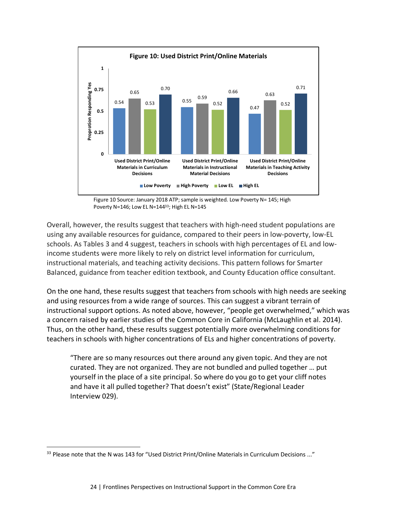

Figure 10 Source: January 2018 ATP; sample is weighted. Low Poverty N= 145; High Poverty N=146; Low EL N=14433; High EL N=145

Overall, however, the results suggest that teachers with high-need student populations are using any available resources for guidance, compared to their peers in low-poverty, low-EL schools. As Tables 3 and 4 suggest, teachers in schools with high percentages of EL and lowincome students were more likely to rely on district level information for curriculum, instructional materials, and teaching activity decisions. This pattern follows for Smarter Balanced, guidance from teacher edition textbook, and County Education office consultant.

On the one hand, these results suggest that teachers from schools with high needs are seeking and using resources from a wide range of sources. This can suggest a vibrant terrain of instructional support options. As noted above, however, "people get overwhelmed," which was a concern raised by earlier studies of the Common Core in California (McLaughlin et al. 2014). Thus, on the other hand, these results suggest potentially more overwhelming conditions for teachers in schools with higher concentrations of ELs and higher concentrations of poverty.

"There are so many resources out there around any given topic. And they are not curated. They are not organized. They are not bundled and pulled together … put yourself in the place of a site principal. So where do you go to get your cliff notes and have it all pulled together? That doesn't exist" (State/Regional Leader Interview 029).

<sup>&</sup>lt;sup>33</sup> Please note that the N was 143 for "Used District Print/Online Materials in Curriculum Decisions ..."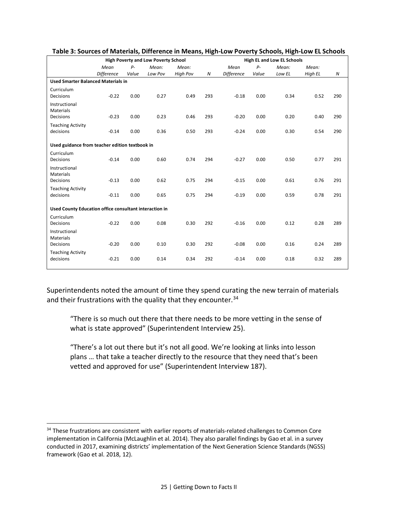|                                                        |                           |             | <b>High Poverty and Low Poverty School</b> |                   |                  | <b>High EL and Low EL Schools</b> |               |                 |                  |            |
|--------------------------------------------------------|---------------------------|-------------|--------------------------------------------|-------------------|------------------|-----------------------------------|---------------|-----------------|------------------|------------|
|                                                        | Mean<br><b>Difference</b> | P-<br>Value | Mean:<br>Low Pov                           | Mean:<br>High Pov | $\boldsymbol{N}$ | Mean<br>Difference                | $P-$<br>Value | Mean:<br>Low EL | Mean:<br>High EL | ${\cal N}$ |
| <b>Used Smarter Balanced Materials in</b>              |                           |             |                                            |                   |                  |                                   |               |                 |                  |            |
| Curriculum<br>Decisions                                | $-0.22$                   | 0.00        | 0.27                                       | 0.49              | 293              | $-0.18$                           | 0.00          | 0.34            | 0.52             | 290        |
| Instructional<br>Materials                             |                           |             |                                            |                   |                  |                                   |               |                 |                  |            |
| Decisions                                              | $-0.23$                   | 0.00        | 0.23                                       | 0.46              | 293              | $-0.20$                           | 0.00          | 0.20            | 0.40             | 290        |
| <b>Teaching Activity</b><br>decisions                  | $-0.14$                   | 0.00        | 0.36                                       | 0.50              | 293              | $-0.24$                           | 0.00          | 0.30            | 0.54             | 290        |
| Used guidance from teacher edition textbook in         |                           |             |                                            |                   |                  |                                   |               |                 |                  |            |
| Curriculum<br>Decisions                                | $-0.14$                   | 0.00        | 0.60                                       | 0.74              | 294              | $-0.27$                           | 0.00          | 0.50            | 0.77             | 291        |
| Instructional<br>Materials                             |                           |             |                                            |                   |                  |                                   |               |                 |                  |            |
| Decisions                                              | $-0.13$                   | 0.00        | 0.62                                       | 0.75              | 294              | $-0.15$                           | 0.00          | 0.61            | 0.76             | 291        |
| <b>Teaching Activity</b><br>decisions                  | $-0.11$                   | 0.00        | 0.65                                       | 0.75              | 294              | $-0.19$                           | 0.00          | 0.59            | 0.78             | 291        |
| Used County Education office consultant interaction in |                           |             |                                            |                   |                  |                                   |               |                 |                  |            |
| Curriculum<br>Decisions                                | $-0.22$                   | 0.00        | 0.08                                       | 0.30              | 292              | $-0.16$                           | 0.00          | 0.12            | 0.28             | 289        |
| Instructional<br>Materials                             |                           |             |                                            |                   |                  |                                   |               |                 |                  |            |
| Decisions                                              | $-0.20$                   | 0.00        | 0.10                                       | 0.30              | 292              | $-0.08$                           | 0.00          | 0.16            | 0.24             | 289        |
| <b>Teaching Activity</b><br>decisions                  | $-0.21$                   | 0.00        | 0.14                                       | 0.34              | 292              | $-0.14$                           | 0.00          | 0.18            | 0.32             | 289        |

**Table 3: Sources of Materials, Difference in Means, High-Low Poverty Schools, High-Low EL Schools**

Superintendents noted the amount of time they spend curating the new terrain of materials and their frustrations with the quality that they encounter.<sup>34</sup>

"There is so much out there that there needs to be more vetting in the sense of what is state approved" (Superintendent Interview 25).

"There's a lot out there but it's not all good. We're looking at links into lesson plans … that take a teacher directly to the resource that they need that's been vetted and approved for use" (Superintendent Interview 187).

<sup>&</sup>lt;sup>34</sup> These frustrations are consistent with earlier reports of materials-related challenges to Common Core implementation in California (McLaughlin et al. 2014). They also parallel findings by Gao et al. in a survey conducted in 2017, examining districts' implementation of the Next Generation Science Standards (NGSS) framework (Gao et al. 2018, 12).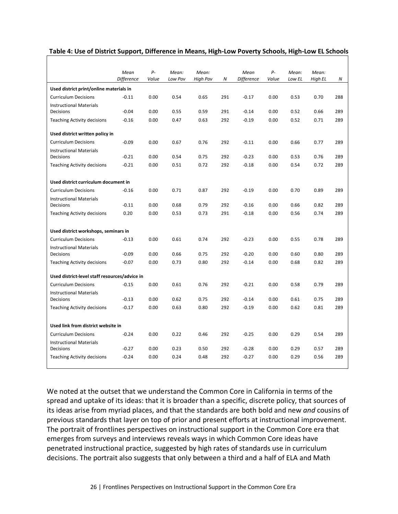|                                               | Mean              | $P-$  | Mean:   | Mean:           |            | Mean              | P-           | Mean:  | Mean:   |     |
|-----------------------------------------------|-------------------|-------|---------|-----------------|------------|-------------------|--------------|--------|---------|-----|
|                                               | <b>Difference</b> | Value | Low Pov | <b>High Pov</b> | ${\cal N}$ | <b>Difference</b> | Value        | Low EL | High EL | Ν   |
| Used district print/online materials in       |                   |       |         |                 |            |                   |              |        |         |     |
| <b>Curriculum Decisions</b>                   | $-0.11$           | 0.00  | 0.54    | 0.65            | 291        | $-0.17$           | 0.00         | 0.53   | 0.70    | 288 |
| <b>Instructional Materials</b><br>Decisions   | $-0.04$           | 0.00  | 0.55    | 0.59            | 291        | $-0.14$           |              | 0.52   | 0.66    | 289 |
|                                               | $-0.16$           | 0.00  | 0.47    | 0.63            | 292        | $-0.19$           | 0.00<br>0.00 | 0.52   | 0.71    | 289 |
| <b>Teaching Activity decisions</b>            |                   |       |         |                 |            |                   |              |        |         |     |
| Used district written policy in               |                   |       |         |                 |            |                   |              |        |         |     |
| <b>Curriculum Decisions</b>                   | $-0.09$           | 0.00  | 0.67    | 0.76            | 292        | $-0.11$           | 0.00         | 0.66   | 0.77    | 289 |
| <b>Instructional Materials</b>                |                   |       |         |                 |            |                   |              |        |         |     |
| Decisions                                     | $-0.21$           | 0.00  | 0.54    | 0.75            | 292        | $-0.23$           | 0.00         | 0.53   | 0.76    | 289 |
| <b>Teaching Activity decisions</b>            | $-0.21$           | 0.00  | 0.51    | 0.72            | 292        | $-0.18$           | 0.00         | 0.54   | 0.72    | 289 |
|                                               |                   |       |         |                 |            |                   |              |        |         |     |
| Used district curriculum document in          |                   |       |         |                 |            |                   |              |        |         |     |
| <b>Curriculum Decisions</b>                   | $-0.16$           | 0.00  | 0.71    | 0.87            | 292        | $-0.19$           | 0.00         | 0.70   | 0.89    | 289 |
| <b>Instructional Materials</b>                |                   |       |         |                 |            |                   |              |        |         |     |
| Decisions                                     | $-0.11$           | 0.00  | 0.68    | 0.79            | 292        | $-0.16$           | 0.00         | 0.66   | 0.82    | 289 |
| <b>Teaching Activity decisions</b>            | 0.20              | 0.00  | 0.53    | 0.73            | 291        | $-0.18$           | 0.00         | 0.56   | 0.74    | 289 |
|                                               |                   |       |         |                 |            |                   |              |        |         |     |
| Used district workshops, seminars in          |                   |       |         |                 |            |                   |              |        |         |     |
| <b>Curriculum Decisions</b>                   | $-0.13$           | 0.00  | 0.61    | 0.74            | 292        | $-0.23$           | 0.00         | 0.55   | 0.78    | 289 |
| <b>Instructional Materials</b>                |                   |       |         |                 |            |                   |              |        |         |     |
| Decisions                                     | $-0.09$           | 0.00  | 0.66    | 0.75            | 292        | $-0.20$           | 0.00         | 0.60   | 0.80    | 289 |
| <b>Teaching Activity decisions</b>            | $-0.07$           | 0.00  | 0.73    | 0.80            | 292        | $-0.14$           | 0.00         | 0.68   | 0.82    | 289 |
| Used district-level staff resources/advice in |                   |       |         |                 |            |                   |              |        |         |     |
| <b>Curriculum Decisions</b>                   | $-0.15$           | 0.00  | 0.61    | 0.76            | 292        | $-0.21$           | 0.00         | 0.58   | 0.79    | 289 |
| <b>Instructional Materials</b>                |                   |       |         |                 |            |                   |              |        |         |     |
| Decisions                                     | $-0.13$           | 0.00  | 0.62    | 0.75            | 292        | $-0.14$           | 0.00         | 0.61   | 0.75    | 289 |
| Teaching Activity decisions                   | $-0.17$           | 0.00  | 0.63    | 0.80            | 292        | $-0.19$           | 0.00         | 0.62   | 0.81    | 289 |
|                                               |                   |       |         |                 |            |                   |              |        |         |     |
| Used link from district website in            |                   |       |         |                 |            |                   |              |        |         |     |
| <b>Curriculum Decisions</b>                   | $-0.24$           | 0.00  | 0.22    | 0.46            | 292        | $-0.25$           | 0.00         | 0.29   | 0.54    | 289 |
| <b>Instructional Materials</b>                |                   |       |         |                 |            |                   |              |        |         |     |
| Decisions                                     | $-0.27$           | 0.00  | 0.23    | 0.50            | 292        | $-0.28$           | 0.00         | 0.29   | 0.57    | 289 |
| <b>Teaching Activity decisions</b>            | $-0.24$           | 0.00  | 0.24    | 0.48            | 292        | $-0.27$           | 0.00         | 0.29   | 0.56    | 289 |
|                                               |                   |       |         |                 |            |                   |              |        |         |     |

#### **Table 4: Use of District Support, Difference in Means, High-Low Poverty Schools, High-Low EL Schools**

We noted at the outset that we understand the Common Core in California in terms of the spread and uptake of its ideas: that it is broader than a specific, discrete policy, that sources of its ideas arise from myriad places, and that the standards are both bold and new *and* cousins of previous standards that layer on top of prior and present efforts at instructional improvement. The portrait of frontlines perspectives on instructional support in the Common Core era that emerges from surveys and interviews reveals ways in which Common Core ideas have penetrated instructional practice, suggested by high rates of standards use in curriculum decisions. The portrait also suggests that only between a third and a half of ELA and Math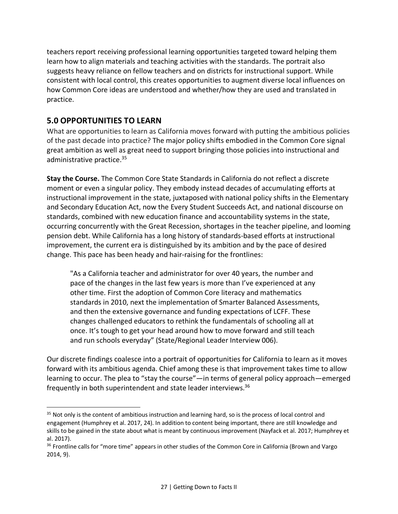teachers report receiving professional learning opportunities targeted toward helping them learn how to align materials and teaching activities with the standards. The portrait also suggests heavy reliance on fellow teachers and on districts for instructional support. While consistent with local control, this creates opportunities to augment diverse local influences on how Common Core ideas are understood and whether/how they are used and translated in practice.

### **5.0 OPPORTUNITIES TO LEARN**

 

What are opportunities to learn as California moves forward with putting the ambitious policies of the past decade into practice? The major policy shifts embodied in the Common Core signal great ambition as well as great need to support bringing those policies into instructional and administrative practice.<sup>35</sup>

**Stay the Course.** The Common Core State Standards in California do not reflect a discrete moment or even a singular policy. They embody instead decades of accumulating efforts at instructional improvement in the state, juxtaposed with national policy shifts in the Elementary and Secondary Education Act, now the Every Student Succeeds Act, and national discourse on standards, combined with new education finance and accountability systems in the state, occurring concurrently with the Great Recession, shortages in the teacher pipeline, and looming pension debt. While California has a long history of standards-based efforts at instructional improvement, the current era is distinguished by its ambition and by the pace of desired change. This pace has been heady and hair-raising for the frontlines:

"As a California teacher and administrator for over 40 years, the number and pace of the changes in the last few years is more than I've experienced at any other time. First the adoption of Common Core literacy and mathematics standards in 2010, next the implementation of Smarter Balanced Assessments, and then the extensive governance and funding expectations of LCFF. These changes challenged educators to rethink the fundamentals of schooling all at once. It's tough to get your head around how to move forward and still teach and run schools everyday" (State/Regional Leader Interview 006).

Our discrete findings coalesce into a portrait of opportunities for California to learn as it moves forward with its ambitious agenda. Chief among these is that improvement takes time to allow learning to occur. The plea to "stay the course"—in terms of general policy approach—emerged frequently in both superintendent and state leader interviews.36

<sup>&</sup>lt;sup>35</sup> Not only is the content of ambitious instruction and learning hard, so is the process of local control and engagement (Humphrey et al. 2017, 24). In addition to content being important, there are still knowledge and skills to be gained in the state about what is meant by continuous improvement (Nayfack et al. 2017; Humphrey et al. 2017).

<sup>&</sup>lt;sup>36</sup> Frontline calls for "more time" appears in other studies of the Common Core in California (Brown and Vargo 2014, 9).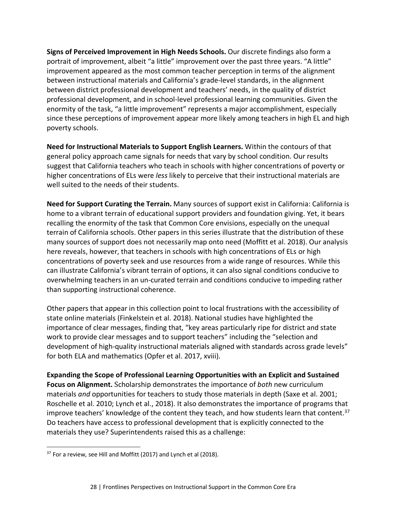**Signs of Perceived Improvement in High Needs Schools.** Our discrete findings also form a portrait of improvement, albeit "a little" improvement over the past three years. "A little" improvement appeared as the most common teacher perception in terms of the alignment between instructional materials and California's grade-level standards, in the alignment between district professional development and teachers' needs, in the quality of district professional development, and in school-level professional learning communities. Given the enormity of the task, "a little improvement" represents a major accomplishment, especially since these perceptions of improvement appear more likely among teachers in high EL and high poverty schools.

**Need for Instructional Materials to Support English Learners.** Within the contours of that general policy approach came signals for needs that vary by school condition. Our results suggest that California teachers who teach in schools with higher concentrations of poverty or higher concentrations of ELs were *less* likely to perceive that their instructional materials are well suited to the needs of their students.

**Need for Support Curating the Terrain.** Many sources of support exist in California: California is home to a vibrant terrain of educational support providers and foundation giving. Yet, it bears recalling the enormity of the task that Common Core envisions, especially on the unequal terrain of California schools. Other papers in this series illustrate that the distribution of these many sources of support does not necessarily map onto need (Moffitt et al. 2018). Our analysis here reveals, however, that teachers in schools with high concentrations of ELs or high concentrations of poverty seek and use resources from a wide range of resources. While this can illustrate California's vibrant terrain of options, it can also signal conditions conducive to overwhelming teachers in an un-curated terrain and conditions conducive to impeding rather than supporting instructional coherence.

Other papers that appear in this collection point to local frustrations with the accessibility of state online materials (Finkelstein et al. 2018). National studies have highlighted the importance of clear messages, finding that, "key areas particularly ripe for district and state work to provide clear messages and to support teachers" including the "selection and development of high-quality instructional materials aligned with standards across grade levels" for both ELA and mathematics (Opfer et al. 2017, xviii).

**Expanding the Scope of Professional Learning Opportunities with an Explicit and Sustained Focus on Alignment.** Scholarship demonstrates the importance of *both* new curriculum materials *and* opportunities for teachers to study those materials in depth (Saxe et al. 2001; Roschelle et al. 2010; Lynch et al., 2018). It also demonstrates the importance of programs that improve teachers' knowledge of the content they teach, and how students learn that content.<sup>37</sup> Do teachers have access to professional development that is explicitly connected to the materials they use? Superintendents raised this as a challenge:

 $37$  For a review, see Hill and Moffitt (2017) and Lynch et al (2018).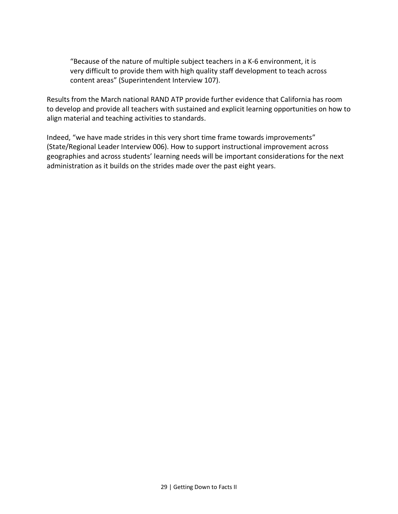"Because of the nature of multiple subject teachers in a K-6 environment, it is very difficult to provide them with high quality staff development to teach across content areas" (Superintendent Interview 107).

Results from the March national RAND ATP provide further evidence that California has room to develop and provide all teachers with sustained and explicit learning opportunities on how to align material and teaching activities to standards.

Indeed, "we have made strides in this very short time frame towards improvements" (State/Regional Leader Interview 006). How to support instructional improvement across geographies and across students' learning needs will be important considerations for the next administration as it builds on the strides made over the past eight years.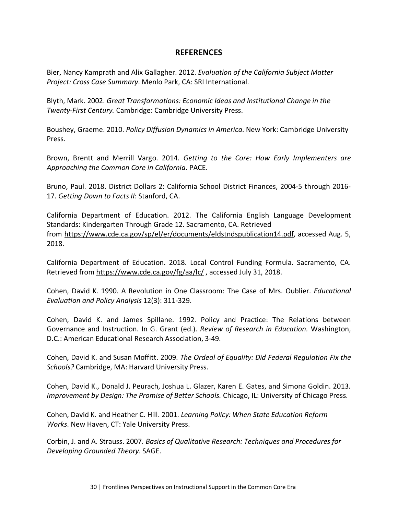### **REFERENCES**

Bier, Nancy Kamprath and Alix Gallagher. 2012. *Evaluation of the California Subject Matter Project: Cross Case Summary*. Menlo Park, CA: SRI International.

Blyth, Mark. 2002. *Great Transformations: Economic Ideas and Institutional Change in the Twenty-First Century.* Cambridge: Cambridge University Press.

Boushey, Graeme. 2010. *Policy Diffusion Dynamics in America*. New York: Cambridge University Press.

Brown, Brentt and Merrill Vargo. 2014. *Getting to the Core: How Early Implementers are Approaching the Common Core in California*. PACE.

Bruno, Paul. 2018. District Dollars 2: California School District Finances, 2004-5 through 2016- 17. *Getting Down to Facts II*: Stanford, CA.

California Department of Education. 2012. The California English Language Development Standards: Kindergarten Through Grade 12. Sacramento, CA. Retrieved from https://www.cde.ca.gov/sp/el/er/documents/eldstndspublication14.pdf, accessed Aug. 5, 2018.

California Department of Education. 2018. Local Control Funding Formula. Sacramento, CA. Retrieved from https://www.cde.ca.gov/fg/aa/lc/ , accessed July 31, 2018.

Cohen, David K. 1990. A Revolution in One Classroom: The Case of Mrs. Oublier. *Educational Evaluation and Policy Analysis* 12(3): 311-329.

Cohen, David K. and James Spillane. 1992. Policy and Practice: The Relations between Governance and Instruction. In G. Grant (ed.). *Review of Research in Education.* Washington, D.C.: American Educational Research Association, 3-49.

Cohen, David K. and Susan Moffitt. 2009. *The Ordeal of Equality: Did Federal Regulation Fix the Schools?* Cambridge, MA: Harvard University Press.

Cohen, David K., Donald J. Peurach, Joshua L. Glazer, Karen E. Gates, and Simona Goldin. 2013. *Improvement by Design: The Promise of Better Schools.* Chicago, IL: University of Chicago Press.

Cohen, David K. and Heather C. Hill. 2001. *Learning Policy: When State Education Reform Works*. New Haven, CT: Yale University Press.

Corbin, J. and A. Strauss. 2007. *Basics of Qualitative Research: Techniques and Procedures for Developing Grounded Theory*. SAGE.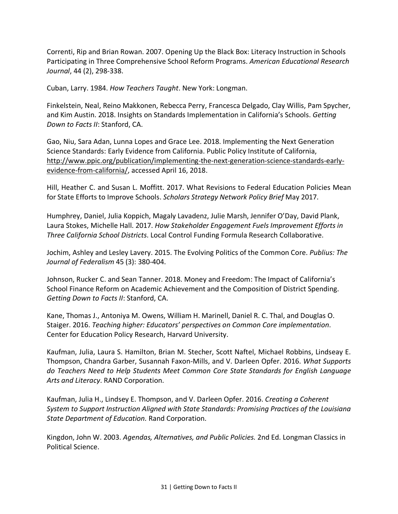Correnti, Rip and Brian Rowan. 2007. Opening Up the Black Box: Literacy Instruction in Schools Participating in Three Comprehensive School Reform Programs. *American Educational Research Journal*, 44 (2), 298-338.

Cuban, Larry. 1984. *How Teachers Taught*. New York: Longman.

Finkelstein, Neal, Reino Makkonen, Rebecca Perry, Francesca Delgado, Clay Willis, Pam Spycher, and Kim Austin. 2018. Insights on Standards Implementation in California's Schools. *Getting Down to Facts II*: Stanford, CA.

Gao, Niu, Sara Adan, Lunna Lopes and Grace Lee. 2018. Implementing the Next Generation Science Standards: Early Evidence from California. Public Policy Institute of California, http://www.ppic.org/publication/implementing-the-next-generation-science-standards-earlyevidence-from-california/, accessed April 16, 2018.

Hill, Heather C. and Susan L. Moffitt. 2017. What Revisions to Federal Education Policies Mean for State Efforts to Improve Schools. *Scholars Strategy Network Policy Brief* May 2017.

Humphrey, Daniel, Julia Koppich, Magaly Lavadenz, Julie Marsh, Jennifer O'Day, David Plank, Laura Stokes, Michelle Hall. 2017. *How Stakeholder Engagement Fuels Improvement Efforts in Three California School Districts*. Local Control Funding Formula Research Collaborative.

Jochim, Ashley and Lesley Lavery. 2015. The Evolving Politics of the Common Core. *Publius: The Journal of Federalism* 45 (3): 380-404.

Johnson, Rucker C. and Sean Tanner. 2018. Money and Freedom: The Impact of California's School Finance Reform on Academic Achievement and the Composition of District Spending. *Getting Down to Facts II*: Stanford, CA.

Kane, Thomas J., Antoniya M. Owens, William H. Marinell, Daniel R. C. Thal, and Douglas O. Staiger. 2016. *Teaching higher: Educators' perspectives on Common Core implementation*. Center for Education Policy Research, Harvard University.

Kaufman, Julia, Laura S. Hamilton, Brian M. Stecher, Scott Naftel, Michael Robbins, Lindseay E. Thompson, Chandra Garber, Susannah Faxon-Mills, and V. Darleen Opfer. 2016. *What Supports do Teachers Need to Help Students Meet Common Core State Standards for English Language Arts and Literacy*. RAND Corporation.

Kaufman, Julia H., Lindsey E. Thompson, and V. Darleen Opfer. 2016. *Creating a Coherent System to Support Instruction Aligned with State Standards: Promising Practices of the Louisiana State Department of Education.* Rand Corporation.

Kingdon, John W. 2003. *Agendas, Alternatives, and Public Policies.* 2nd Ed. Longman Classics in Political Science.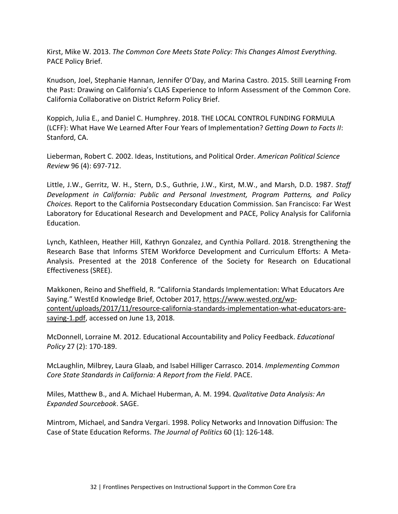Kirst, Mike W. 2013. *The Common Core Meets State Policy: This Changes Almost Everything*. PACE Policy Brief.

Knudson, Joel, Stephanie Hannan, Jennifer O'Day, and Marina Castro. 2015. Still Learning From the Past: Drawing on California's CLAS Experience to Inform Assessment of the Common Core. California Collaborative on District Reform Policy Brief.

Koppich, Julia E., and Daniel C. Humphrey. 2018. THE LOCAL CONTROL FUNDING FORMULA (LCFF): What Have We Learned After Four Years of Implementation? *Getting Down to Facts II*: Stanford, CA.

Lieberman, Robert C. 2002. Ideas, Institutions, and Political Order. *American Political Science Review* 96 (4): 697-712.

Little, J.W., Gerritz, W. H., Stern, D.S., Guthrie, J.W., Kirst, M.W., and Marsh, D.D. 1987. *Staff Development in California: Public and Personal Investment, Program Patterns, and Policy Choices.* Report to the California Postsecondary Education Commission. San Francisco: Far West Laboratory for Educational Research and Development and PACE, Policy Analysis for California Education.

Lynch, Kathleen, Heather Hill, Kathryn Gonzalez, and Cynthia Pollard. 2018. Strengthening the Research Base that Informs STEM Workforce Development and Curriculum Efforts: A Meta-Analysis. Presented at the 2018 Conference of the Society for Research on Educational Effectiveness (SREE).

Makkonen, Reino and Sheffield, R. "California Standards Implementation: What Educators Are Saying." WestEd Knowledge Brief, October 2017, https://www.wested.org/wpcontent/uploads/2017/11/resource-california-standards-implementation-what-educators-aresaying-1.pdf, accessed on June 13, 2018.

McDonnell, Lorraine M. 2012. Educational Accountability and Policy Feedback. *Educational Policy* 27 (2): 170-189.

McLaughlin, Milbrey, Laura Glaab, and Isabel Hilliger Carrasco. 2014. *Implementing Common Core State Standards in California: A Report from the Field*. PACE.

Miles, Matthew B., and A. Michael Huberman, A. M. 1994. *Qualitative Data Analysis: An Expanded Sourcebook*. SAGE.

Mintrom, Michael, and Sandra Vergari. 1998. Policy Networks and Innovation Diffusion: The Case of State Education Reforms. *The Journal of Politics* 60 (1): 126-148.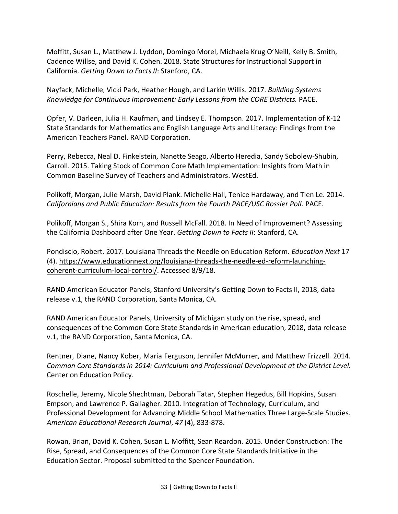Moffitt, Susan L., Matthew J. Lyddon, Domingo Morel, Michaela Krug O'Neill, Kelly B. Smith, Cadence Willse, and David K. Cohen. 2018. State Structures for Instructional Support in California. *Getting Down to Facts II*: Stanford, CA.

Nayfack, Michelle, Vicki Park, Heather Hough, and Larkin Willis. 2017. *Building Systems Knowledge for Continuous Improvement: Early Lessons from the CORE Districts.* PACE.

Opfer, V. Darleen, Julia H. Kaufman, and Lindsey E. Thompson. 2017. Implementation of K-12 State Standards for Mathematics and English Language Arts and Literacy: Findings from the American Teachers Panel. RAND Corporation.

Perry, Rebecca, Neal D. Finkelstein, Nanette Seago, Alberto Heredia, Sandy Sobolew-Shubin, Carroll. 2015. Taking Stock of Common Core Math Implementation: Insights from Math in Common Baseline Survey of Teachers and Administrators. WestEd.

Polikoff, Morgan, Julie Marsh, David Plank. Michelle Hall, Tenice Hardaway, and Tien Le. 2014. *Californians and Public Education: Results from the Fourth PACE/USC Rossier Poll*. PACE.

Polikoff, Morgan S., Shira Korn, and Russell McFall. 2018. In Need of Improvement? Assessing the California Dashboard after One Year. *Getting Down to Facts II*: Stanford, CA.

Pondiscio, Robert. 2017. Louisiana Threads the Needle on Education Reform. *Education Next* 17 (4). https://www.educationnext.org/louisiana-threads-the-needle-ed-reform-launchingcoherent-curriculum-local-control/. Accessed 8/9/18.

RAND American Educator Panels, Stanford University's Getting Down to Facts II, 2018, data release v.1, the RAND Corporation, Santa Monica, CA.

RAND American Educator Panels, University of Michigan study on the rise, spread, and consequences of the Common Core State Standards in American education, 2018, data release v.1, the RAND Corporation, Santa Monica, CA.

Rentner, Diane, Nancy Kober, Maria Ferguson, Jennifer McMurrer, and Matthew Frizzell. 2014. *Common Core Standards in 2014: Curriculum and Professional Development at the District Level.* Center on Education Policy.

Roschelle, Jeremy, Nicole Shechtman, Deborah Tatar, Stephen Hegedus, Bill Hopkins, Susan Empson, and Lawrence P. Gallagher. 2010. Integration of Technology, Curriculum, and Professional Development for Advancing Middle School Mathematics Three Large-Scale Studies. *American Educational Research Journal*, *47* (4), 833-878.

Rowan, Brian, David K. Cohen, Susan L. Moffitt, Sean Reardon. 2015. Under Construction: The Rise, Spread, and Consequences of the Common Core State Standards Initiative in the Education Sector. Proposal submitted to the Spencer Foundation.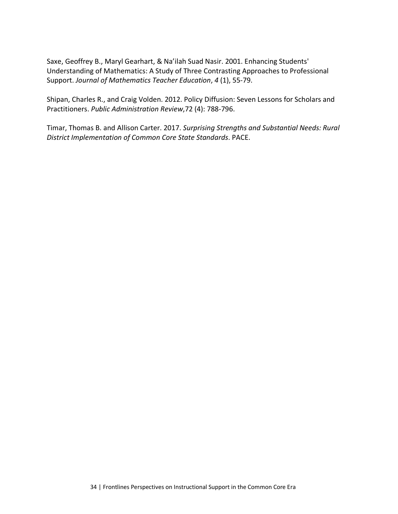Saxe, Geoffrey B., Maryl Gearhart, & Na'ilah Suad Nasir. 2001. Enhancing Students' Understanding of Mathematics: A Study of Three Contrasting Approaches to Professional Support. *Journal of Mathematics Teacher Education*, *4* (1), 55-79.

Shipan, Charles R., and Craig Volden. 2012. Policy Diffusion: Seven Lessons for Scholars and Practitioners. *Public Administration Review*,72 (4): 788-796.

Timar, Thomas B. and Allison Carter. 2017. *Surprising Strengths and Substantial Needs: Rural District Implementation of Common Core State Standards*. PACE.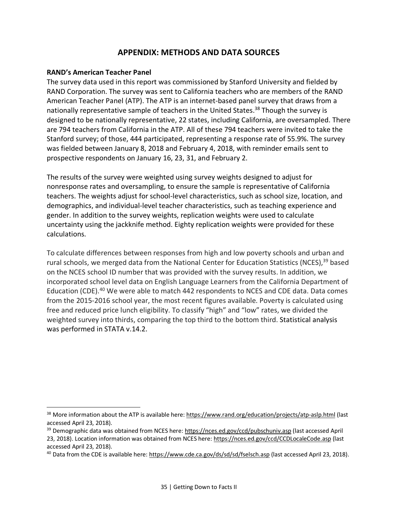### **APPENDIX: METHODS AND DATA SOURCES**

#### **RAND's American Teacher Panel**

 

The survey data used in this report was commissioned by Stanford University and fielded by RAND Corporation. The survey was sent to California teachers who are members of the RAND American Teacher Panel (ATP). The ATP is an internet-based panel survey that draws from a nationally representative sample of teachers in the United States.<sup>38</sup> Though the survey is designed to be nationally representative, 22 states, including California, are oversampled. There are 794 teachers from California in the ATP. All of these 794 teachers were invited to take the Stanford survey; of those, 444 participated, representing a response rate of 55.9%. The survey was fielded between January 8, 2018 and February 4, 2018, with reminder emails sent to prospective respondents on January 16, 23, 31, and February 2.

The results of the survey were weighted using survey weights designed to adjust for nonresponse rates and oversampling, to ensure the sample is representative of California teachers. The weights adjust for school-level characteristics, such as school size, location, and demographics, and individual-level teacher characteristics, such as teaching experience and gender. In addition to the survey weights, replication weights were used to calculate uncertainty using the jackknife method. Eighty replication weights were provided for these calculations.

To calculate differences between responses from high and low poverty schools and urban and rural schools, we merged data from the National Center for Education Statistics (NCES),<sup>39</sup> based on the NCES school ID number that was provided with the survey results. In addition, we incorporated school level data on English Language Learners from the California Department of Education (CDE).<sup>40</sup> We were able to match 442 respondents to NCES and CDE data. Data comes from the 2015-2016 school year, the most recent figures available. Poverty is calculated using free and reduced price lunch eligibility. To classify "high" and "low" rates, we divided the weighted survey into thirds, comparing the top third to the bottom third. Statistical analysis was performed in STATA v.14.2.

<sup>38</sup> More information about the ATP is available here: https://www.rand.org/education/projects/atp-aslp.html (last accessed April 23, 2018).

<sup>&</sup>lt;sup>39</sup> Demographic data was obtained from NCES here: https://nces.ed.gov/ccd/pubschuniv.asp (last accessed April 23, 2018). Location information was obtained from NCES here: https://nces.ed.gov/ccd/CCDLocaleCode.asp (last accessed April 23, 2018).

<sup>40</sup> Data from the CDE is available here: https://www.cde.ca.gov/ds/sd/sd/fselsch.asp (last accessed April 23, 2018).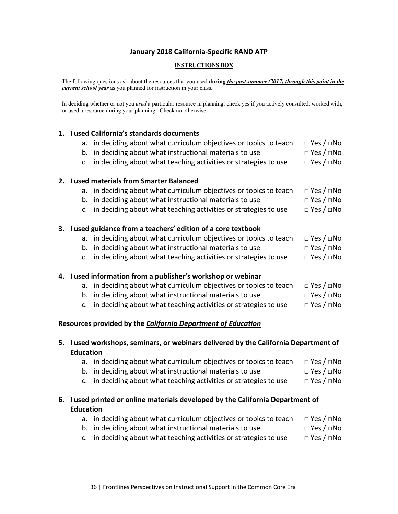#### **January 2018 California-Specific RAND ATP**

#### **INSTRUCTIONS BOX**

The following questions ask about the resources that you used **during** *the past summer (2017) through this point in the current school year* as you planned for instruction in your class.

In deciding whether or not you *used* a particular resource in planning: check yes if you actively consulted, worked with, or used a resource during your planning. Check no otherwise.

#### **1. I used California's standards documents**

|  | a. in deciding about what curriculum objectives or topics to teach | □ Yes / □No |
|--|--------------------------------------------------------------------|-------------|
|--|--------------------------------------------------------------------|-------------|

- b. in deciding about what instructional materials to use  $\Box$  Yes /  $\Box$  No
- c. in deciding about what teaching activities or strategies to use  $\Box$  Yes /  $\Box$ No

#### **2. I used materials from Smarter Balanced**

- a. in deciding about what curriculum objectives or topics to teach  $□$  Yes  $/□$ No
- b. in deciding about what instructional materials to use  $\Box$  Yes /  $\Box$  No
- c. in deciding about what teaching activities or strategies to use  $□$  Yes  $/□$ No

#### **3. I used guidance from a teachers' edition of a core textbook**

|                                    |  |  | a. in deciding about what curriculum objectives or topics to teach $\Box$ Yes / $\Box$ No |  |
|------------------------------------|--|--|-------------------------------------------------------------------------------------------|--|
| $\sim$ $\sim$ $\sim$ $\sim$ $\sim$ |  |  |                                                                                           |  |

- b. in deciding about what instructional materials to use  $\Box$  Yes  $/ \Box$ No
- c. in deciding about what teaching activities or strategies to use  $□$  Yes  $/□$ No

#### **4. I used information from a publisher's workshop or webinar**

| a. in deciding about what curriculum objectives or topics to teach | $□$ Yes / $□$ No       |
|--------------------------------------------------------------------|------------------------|
| b. in deciding about what instructional materials to use           | $\Box$ Yes / $\Box$ No |

c. in deciding about what teaching activities or strategies to use  $\Box$  Yes /  $\Box$ No

#### **Resources provided by the** *California Department of Education*

### **5. I used workshops, seminars, or webinars delivered by the California Department of Education**

- a. in deciding about what curriculum objectives or topics to teach  $□$  Yes  $/□$ No
- b. in deciding about what instructional materials to use  $\Box$  Yes /  $\Box$  No
- c. in deciding about what teaching activities or strategies to use  $□$  Yes  $/□$ No

### **6. I used printed or online materials developed by the California Department of Education**

- a. in deciding about what curriculum objectives or topics to teach  $□$  Yes  $/□$ No
- b. in deciding about what instructional materials to use  $\Box$  Yes /  $\Box$  No
- c. in deciding about what teaching activities or strategies to use  $□$  Yes  $/□$ No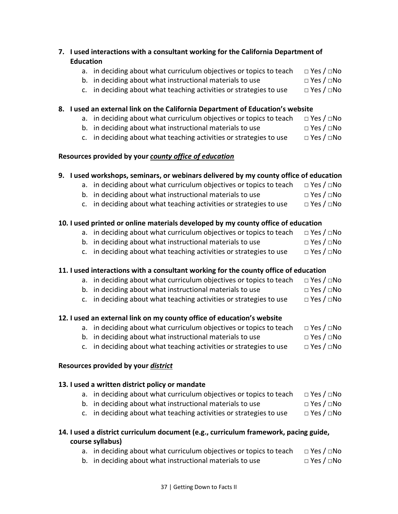### **7. I used interactions with a consultant working for the California Department of Education**

| a. in deciding about what curriculum objectives or topics to teach | □ Yes / □No            |
|--------------------------------------------------------------------|------------------------|
| b. in deciding about what instructional materials to use           | $\Box$ Yes / $\Box$ No |

c. in deciding about what teaching activities or strategies to use  $□$  Yes  $/□$ No

### **8. I used an external link on the California Department of Education's website**

- a. in deciding about what curriculum objectives or topics to teach  $□$  Yes  $/□$ No
- b. in deciding about what instructional materials to use  $\Box$  Yes  $/\Box$  No
- c. in deciding about what teaching activities or strategies to use  $□$  Yes  $/□$ No

### **Resources provided by your** *county office of education*

### **9. I used workshops, seminars, or webinars delivered by my county office of education**

- a. in deciding about what curriculum objectives or topics to teach  $□$  Yes  $/□$ No
- b. in deciding about what instructional materials to use  $\Box$  Yes  $/\Box$  No
- c. in deciding about what teaching activities or strategies to use  $\Box$  Yes /  $\Box$ No

### **10. I used printed or online materials developed by my county office of education**

| a. in deciding about what curriculum objectives or topics to teach | $\Box$ Yes / $\Box$ No |
|--------------------------------------------------------------------|------------------------|
| b. in deciding about what instructional materials to use           | $\Box$ Yes / $\Box$ No |
| c. in deciding about what teaching activities or strategies to use | $\Box$ Yes / $\Box$ No |

### **11. I used interactions with a consultant working for the county office of education**

| a. in deciding about what curriculum objectives or topics to teach | $\Box$ Yes / $\Box$ No |
|--------------------------------------------------------------------|------------------------|
| b. in deciding about what instructional materials to use           | $\Box$ Yes / $\Box$ No |
| c. in deciding about what teaching activities or strategies to use | $\Box$ Yes / $\Box$ No |

### **12. I used an external link on my county office of education's website**

- a. in deciding about what curriculum objectives or topics to teach  $□$  Yes  $/□$ No
- b. in deciding about what instructional materials to use  $\Box$  Yes  $/ \Box$  No
- c. in deciding about what teaching activities or strategies to use  $\Box$  Yes /  $\Box$ No

### **Resources provided by your** *district*

### **13. I used a written district policy or mandate**

- a. in deciding about what curriculum objectives or topics to teach  $□$  Yes  $/□$ No
- b. in deciding about what instructional materials to use  $\Box$  Yes /  $\Box$  No
- c. in deciding about what teaching activities or strategies to use  $□$  Yes  $/□$ No

### **14. I used a district curriculum document (e.g., curriculum framework, pacing guide, course syllabus)**

- a. in deciding about what curriculum objectives or topics to teach  $□$  Yes  $/□$ No
- b. in deciding about what instructional materials to use  $\Box$  Yes /  $\Box$  No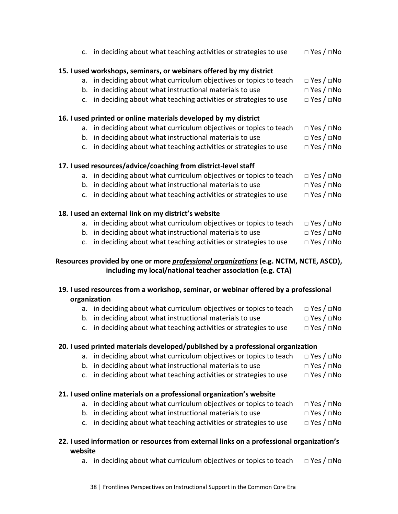|                                                                                              | c. in deciding about what teaching activities or strategies to use | $\Box$ Yes / $\Box$ No |  |  |  |  |
|----------------------------------------------------------------------------------------------|--------------------------------------------------------------------|------------------------|--|--|--|--|
|                                                                                              | 15. I used workshops, seminars, or webinars offered by my district |                        |  |  |  |  |
| а.                                                                                           | in deciding about what curriculum objectives or topics to teach    | $\Box$ Yes / $\Box$ No |  |  |  |  |
|                                                                                              | b. in deciding about what instructional materials to use           | $\Box$ Yes / $\Box$ No |  |  |  |  |
| $\mathsf{C}$ .                                                                               | in deciding about what teaching activities or strategies to use    | $\Box$ Yes / $\Box$ No |  |  |  |  |
|                                                                                              | 16. I used printed or online materials developed by my district    |                        |  |  |  |  |
|                                                                                              | a. in deciding about what curriculum objectives or topics to teach | $\Box$ Yes / $\Box$ No |  |  |  |  |
| b.                                                                                           | in deciding about what instructional materials to use              | $\Box$ Yes / $\Box$ No |  |  |  |  |
| $\mathsf{C}$ .                                                                               | in deciding about what teaching activities or strategies to use    | $\Box$ Yes / $\Box$ No |  |  |  |  |
|                                                                                              | 17. I used resources/advice/coaching from district-level staff     |                        |  |  |  |  |
|                                                                                              | a. in deciding about what curriculum objectives or topics to teach | $\Box$ Yes / $\Box$ No |  |  |  |  |
|                                                                                              | b. in deciding about what instructional materials to use           | $\Box$ Yes / $\Box$ No |  |  |  |  |
| $C_{\star}$                                                                                  | in deciding about what teaching activities or strategies to use    | $\Box$ Yes / $\Box$ No |  |  |  |  |
|                                                                                              | 18. I used an external link on my district's website               |                        |  |  |  |  |
|                                                                                              | a. in deciding about what curriculum objectives or topics to teach | $\Box$ Yes / $\Box$ No |  |  |  |  |
|                                                                                              | b. in deciding about what instructional materials to use           | $\Box$ Yes / $\Box$ No |  |  |  |  |
| $\mathsf{C}$ .                                                                               | in deciding about what teaching activities or strategies to use    | $\Box$ Yes / $\Box$ No |  |  |  |  |
| Resources provided by one or more <i>professional organizations</i> (e.g. NCTM, NCTE, ASCD), |                                                                    |                        |  |  |  |  |
|                                                                                              | including my local/national teacher association (e.g. CTA)         |                        |  |  |  |  |

| 19. I used resources from a workshop, seminar, or webinar offered by a professional |  |
|-------------------------------------------------------------------------------------|--|
| organization                                                                        |  |

| a. in deciding about what curriculum objectives or topics to teach | □ Yes / □No            |  |
|--------------------------------------------------------------------|------------------------|--|
| b. in deciding about what instructional materials to use           | $\Box$ Yes / $\Box$ No |  |

c. in deciding about what teaching activities or strategies to use  $□$  Yes  $/□$ No

#### **20. I used printed materials developed/published by a professional organization**

- a. in deciding about what curriculum objectives or topics to teach  $□$  Yes  $/□$ No
- b. in deciding about what instructional materials to use  $\Box$  Yes /  $\Box$  No
- c. in deciding about what teaching activities or strategies to use  $□$  Yes  $/□$ No

#### **21. I used online materials on a professional organization's website**

- a. in deciding about what curriculum objectives or topics to teach  $□$  Yes  $/□$ No
- b. in deciding about what instructional materials to use  $\Box$  Yes /  $\Box$  No
- c. in deciding about what teaching activities or strategies to use  $□$  Yes  $/□$ No

#### **22. I used information or resources from external links on a professional organization's website**

a. in deciding about what curriculum objectives or topics to teach  $□$  Yes  $/□$ No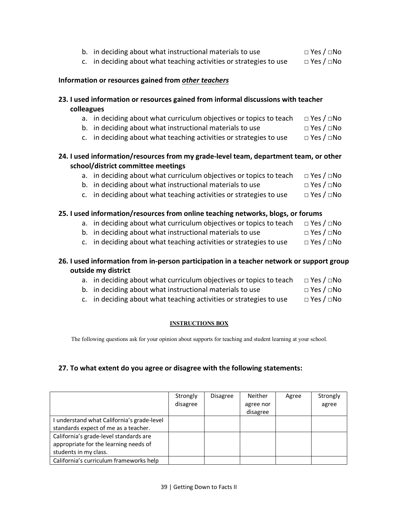|  | b. in deciding about what instructional materials to use | $□$ Yes $/□$ No |
|--|----------------------------------------------------------|-----------------|
|--|----------------------------------------------------------|-----------------|

c. in deciding about what teaching activities or strategies to use  $□$  Yes  $/□$ No

#### **Information or resources gained from** *other teachers*

### **23. I used information or resources gained from informal discussions with teacher colleagues**

- a. in deciding about what curriculum objectives or topics to teach  $□$  Yes  $/□$ No
- b. in deciding about what instructional materials to use  $\Box$  Yes /  $\Box$  No
- c. in deciding about what teaching activities or strategies to use  $□$  Yes  $/□$ No

### **24. I used information/resources from my grade-level team, department team, or other school/district committee meetings**

| a. in deciding about what curriculum objectives or topics to teach | $□$ Yes / $□$ No       |
|--------------------------------------------------------------------|------------------------|
| b. in deciding about what instructional materials to use           | $\Box$ Yes / $\Box$ No |

c. in deciding about what teaching activities or strategies to use  $□$  Yes  $/□$ No

#### **25. I used information/resources from online teaching networks, blogs, or forums**

|  | a. in deciding about what curriculum objectives or topics to teach |  |  | $□$ Yes / $□$ No |  |
|--|--------------------------------------------------------------------|--|--|------------------|--|
|--|--------------------------------------------------------------------|--|--|------------------|--|

- b. in deciding about what instructional materials to use  $\Box$  Yes /  $\Box$  No
- c. in deciding about what teaching activities or strategies to use  $□$  Yes  $/□$ No

### **26. I used information from in-person participation in a teacher network or support group outside my district**

| a. in deciding about what curriculum objectives or topics to teach | $\Box$ Yes / $\Box$ No |
|--------------------------------------------------------------------|------------------------|
| b. in deciding about what instructional materials to use           | $\Box$ Yes / $\Box$ No |
| c. in deciding about what teaching activities or strategies to use | $\Box$ Yes / $\Box$ No |

#### **INSTRUCTIONS BOX**

The following questions ask for your opinion about supports for teaching and student learning at your school.

#### **27. To what extent do you agree or disagree with the following statements:**

|                                          | Strongly<br>disagree | <b>Disagree</b> | <b>Neither</b><br>agree nor | Agree | Strongly<br>agree |
|------------------------------------------|----------------------|-----------------|-----------------------------|-------|-------------------|
|                                          |                      |                 | disagree                    |       |                   |
| understand what California's grade-level |                      |                 |                             |       |                   |
| standards expect of me as a teacher.     |                      |                 |                             |       |                   |
| California's grade-level standards are   |                      |                 |                             |       |                   |
| appropriate for the learning needs of    |                      |                 |                             |       |                   |
| students in my class.                    |                      |                 |                             |       |                   |
| California's curriculum frameworks help  |                      |                 |                             |       |                   |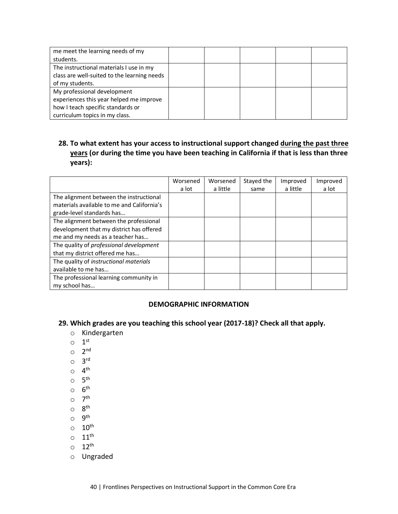| me meet the learning needs of my            |  |  |  |
|---------------------------------------------|--|--|--|
| students.                                   |  |  |  |
| The instructional materials I use in my     |  |  |  |
| class are well-suited to the learning needs |  |  |  |
| of my students.                             |  |  |  |
| My professional development                 |  |  |  |
| experiences this year helped me improve     |  |  |  |
| how I teach specific standards or           |  |  |  |
| curriculum topics in my class.              |  |  |  |

### **28. To what extent has your access to instructional support changed during the past three years (or during the time you have been teaching in California if that is less than three years):**

|                                            | Worsened | Worsened | Stayed the | Improved | Improved |
|--------------------------------------------|----------|----------|------------|----------|----------|
|                                            | a lot    | a little | same       | a little | a lot    |
| The alignment between the instructional    |          |          |            |          |          |
| materials available to me and California's |          |          |            |          |          |
| grade-level standards has                  |          |          |            |          |          |
| The alignment between the professional     |          |          |            |          |          |
| development that my district has offered   |          |          |            |          |          |
| me and my needs as a teacher has           |          |          |            |          |          |
| The quality of professional development    |          |          |            |          |          |
| that my district offered me has            |          |          |            |          |          |
| The quality of instructional materials     |          |          |            |          |          |
| available to me has                        |          |          |            |          |          |
| The professional learning community in     |          |          |            |          |          |
| my school has                              |          |          |            |          |          |

#### **DEMOGRAPHIC INFORMATION**

### **29. Which grades are you teaching this school year (2017-18)? Check all that apply.**

- o Kindergarten
- $\circ$  1<sup>st</sup>
- $\circ$  2<sup>nd</sup>
- o 3rd
- $\circ$  4<sup>th</sup>
- o 5th
- 
- $\circ$  6<sup>th</sup>
- $\circ$  7<sup>th</sup>
- $\circ$  8<sup>th</sup>
- o 9th
- $\circ$  10<sup>th</sup>
- $\circ$  11<sup>th</sup>
- $\circ$  12<sup>th</sup>
- o Ungraded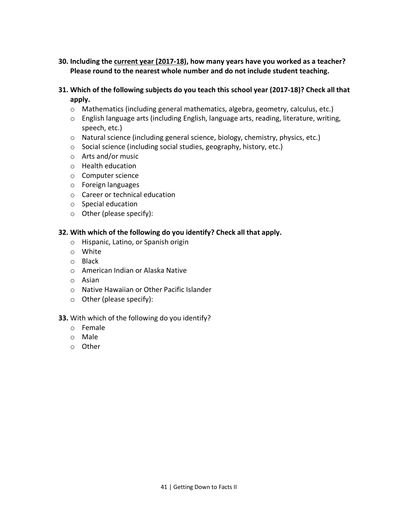### **30. Including the current year (2017-18), how many years have you worked as a teacher? Please round to the nearest whole number and do not include student teaching.**

### **31. Which of the following subjects do you teach this school year (2017-18)? Check all that apply.**

- $\circ$  Mathematics (including general mathematics, algebra, geometry, calculus, etc.)
- o English language arts (including English, language arts, reading, literature, writing, speech, etc.)
- o Natural science (including general science, biology, chemistry, physics, etc.)
- o Social science (including social studies, geography, history, etc.)
- o Arts and/or music
- o Health education
- o Computer science
- o Foreign languages
- o Career or technical education
- o Special education
- o Other (please specify):

### **32. With which of the following do you identify? Check all that apply.**

- o Hispanic, Latino, or Spanish origin
- o White
- o Black
- o American Indian or Alaska Native
- o Asian
- o Native Hawaiian or Other Pacific Islander
- o Other (please specify):

#### **33.** With which of the following do you identify?

- o Female
- o Male
- o Other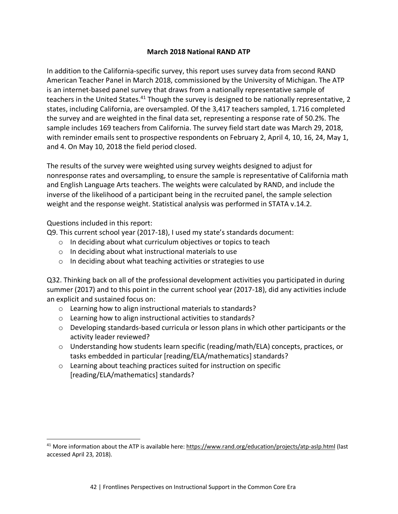### **March 2018 National RAND ATP**

In addition to the California-specific survey, this report uses survey data from second RAND American Teacher Panel in March 2018, commissioned by the University of Michigan. The ATP is an internet-based panel survey that draws from a nationally representative sample of teachers in the United States.<sup>41</sup> Though the survey is designed to be nationally representative, 2 states, including California, are oversampled. Of the 3,417 teachers sampled, 1.716 completed the survey and are weighted in the final data set, representing a response rate of 50.2%. The sample includes 169 teachers from California. The survey field start date was March 29, 2018, with reminder emails sent to prospective respondents on February 2, April 4, 10, 16, 24, May 1, and 4. On May 10, 2018 the field period closed.

The results of the survey were weighted using survey weights designed to adjust for nonresponse rates and oversampling, to ensure the sample is representative of California math and English Language Arts teachers. The weights were calculated by RAND, and include the inverse of the likelihood of a participant being in the recruited panel, the sample selection weight and the response weight. Statistical analysis was performed in STATA v.14.2.

Questions included in this report:

 

Q9. This current school year (2017-18), I used my state's standards document:

- o In deciding about what curriculum objectives or topics to teach
- o In deciding about what instructional materials to use
- o In deciding about what teaching activities or strategies to use

Q32. Thinking back on all of the professional development activities you participated in during summer (2017) and to this point in the current school year (2017-18), did any activities include an explicit and sustained focus on:

- o Learning how to align instructional materials to standards?
- o Learning how to align instructional activities to standards?
- $\circ$  Developing standards-based curricula or lesson plans in which other participants or the activity leader reviewed?
- $\circ$  Understanding how students learn specific (reading/math/ELA) concepts, practices, or tasks embedded in particular [reading/ELA/mathematics] standards?
- o Learning about teaching practices suited for instruction on specific [reading/ELA/mathematics] standards?

<sup>&</sup>lt;sup>41</sup> More information about the ATP is available here: https://www.rand.org/education/projects/atp-aslp.html (last accessed April 23, 2018).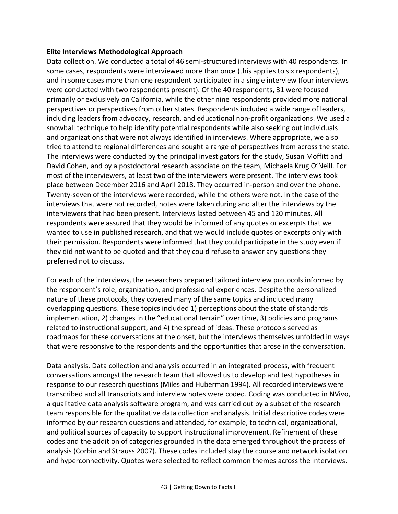#### **Elite Interviews Methodological Approach**

Data collection. We conducted a total of 46 semi-structured interviews with 40 respondents. In some cases, respondents were interviewed more than once (this applies to six respondents), and in some cases more than one respondent participated in a single interview (four interviews were conducted with two respondents present). Of the 40 respondents, 31 were focused primarily or exclusively on California, while the other nine respondents provided more national perspectives or perspectives from other states. Respondents included a wide range of leaders, including leaders from advocacy, research, and educational non-profit organizations. We used a snowball technique to help identify potential respondents while also seeking out individuals and organizations that were not always identified in interviews. Where appropriate, we also tried to attend to regional differences and sought a range of perspectives from across the state. The interviews were conducted by the principal investigators for the study, Susan Moffitt and David Cohen, and by a postdoctoral research associate on the team, Michaela Krug O'Neill. For most of the interviewers, at least two of the interviewers were present. The interviews took place between December 2016 and April 2018. They occurred in-person and over the phone. Twenty-seven of the interviews were recorded, while the others were not. In the case of the interviews that were not recorded, notes were taken during and after the interviews by the interviewers that had been present. Interviews lasted between 45 and 120 minutes. All respondents were assured that they would be informed of any quotes or excerpts that we wanted to use in published research, and that we would include quotes or excerpts only with their permission. Respondents were informed that they could participate in the study even if they did not want to be quoted and that they could refuse to answer any questions they preferred not to discuss.

For each of the interviews, the researchers prepared tailored interview protocols informed by the respondent's role, organization, and professional experiences. Despite the personalized nature of these protocols, they covered many of the same topics and included many overlapping questions. These topics included 1) perceptions about the state of standards implementation, 2) changes in the "educational terrain" over time, 3) policies and programs related to instructional support, and 4) the spread of ideas. These protocols served as roadmaps for these conversations at the onset, but the interviews themselves unfolded in ways that were responsive to the respondents and the opportunities that arose in the conversation.

Data analysis. Data collection and analysis occurred in an integrated process, with frequent conversations amongst the research team that allowed us to develop and test hypotheses in response to our research questions (Miles and Huberman 1994). All recorded interviews were transcribed and all transcripts and interview notes were coded. Coding was conducted in NVivo, a qualitative data analysis software program, and was carried out by a subset of the research team responsible for the qualitative data collection and analysis. Initial descriptive codes were informed by our research questions and attended, for example, to technical, organizational, and political sources of capacity to support instructional improvement. Refinement of these codes and the addition of categories grounded in the data emerged throughout the process of analysis (Corbin and Strauss 2007). These codes included stay the course and network isolation and hyperconnectivity. Quotes were selected to reflect common themes across the interviews.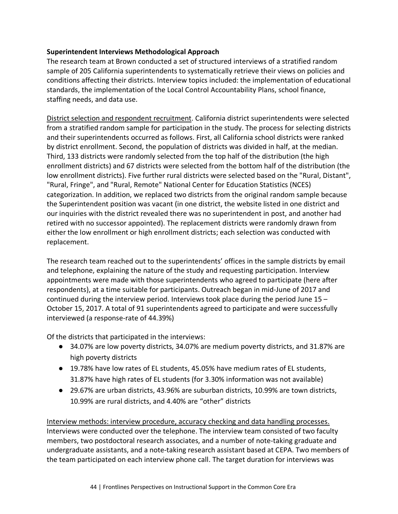### **Superintendent Interviews Methodological Approach**

The research team at Brown conducted a set of structured interviews of a stratified random sample of 205 California superintendents to systematically retrieve their views on policies and conditions affecting their districts. Interview topics included: the implementation of educational standards, the implementation of the Local Control Accountability Plans, school finance, staffing needs, and data use.

District selection and respondent recruitment. California district superintendents were selected from a stratified random sample for participation in the study. The process for selecting districts and their superintendents occurred as follows. First, all California school districts were ranked by district enrollment. Second, the population of districts was divided in half, at the median. Third, 133 districts were randomly selected from the top half of the distribution (the high enrollment districts) and 67 districts were selected from the bottom half of the distribution (the low enrollment districts). Five further rural districts were selected based on the "Rural, Distant", "Rural, Fringe", and "Rural, Remote" National Center for Education Statistics (NCES) categorization. In addition, we replaced two districts from the original random sample because the Superintendent position was vacant (in one district, the website listed in one district and our inquiries with the district revealed there was no superintendent in post, and another had retired with no successor appointed). The replacement districts were randomly drawn from either the low enrollment or high enrollment districts; each selection was conducted with replacement.

The research team reached out to the superintendents' offices in the sample districts by email and telephone, explaining the nature of the study and requesting participation. Interview appointments were made with those superintendents who agreed to participate (here after respondents), at a time suitable for participants. Outreach began in mid-June of 2017 and continued during the interview period. Interviews took place during the period June 15 – October 15, 2017. A total of 91 superintendents agreed to participate and were successfully interviewed (a response-rate of 44.39%)

Of the districts that participated in the interviews:

- 34.07% are low poverty districts, 34.07% are medium poverty districts, and 31.87% are high poverty districts
- 19.78% have low rates of EL students, 45.05% have medium rates of EL students, 31.87% have high rates of EL students (for 3.30% information was not available)
- 29.67% are urban districts, 43.96% are suburban districts, 10.99% are town districts, 10.99% are rural districts, and 4.40% are "other" districts

Interview methods: interview procedure, accuracy checking and data handling processes. Interviews were conducted over the telephone. The interview team consisted of two faculty members, two postdoctoral research associates, and a number of note-taking graduate and undergraduate assistants, and a note-taking research assistant based at CEPA. Two members of the team participated on each interview phone call. The target duration for interviews was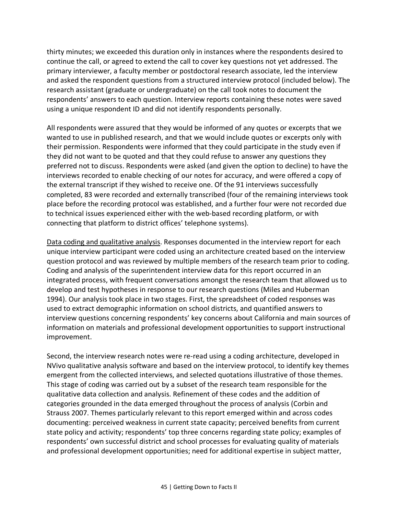thirty minutes; we exceeded this duration only in instances where the respondents desired to continue the call, or agreed to extend the call to cover key questions not yet addressed. The primary interviewer, a faculty member or postdoctoral research associate, led the interview and asked the respondent questions from a structured interview protocol (included below). The research assistant (graduate or undergraduate) on the call took notes to document the respondents' answers to each question. Interview reports containing these notes were saved using a unique respondent ID and did not identify respondents personally.

All respondents were assured that they would be informed of any quotes or excerpts that we wanted to use in published research, and that we would include quotes or excerpts only with their permission. Respondents were informed that they could participate in the study even if they did not want to be quoted and that they could refuse to answer any questions they preferred not to discuss. Respondents were asked (and given the option to decline) to have the interviews recorded to enable checking of our notes for accuracy, and were offered a copy of the external transcript if they wished to receive one. Of the 91 interviews successfully completed, 83 were recorded and externally transcribed (four of the remaining interviews took place before the recording protocol was established, and a further four were not recorded due to technical issues experienced either with the web-based recording platform, or with connecting that platform to district offices' telephone systems).

Data coding and qualitative analysis. Responses documented in the interview report for each unique interview participant were coded using an architecture created based on the interview question protocol and was reviewed by multiple members of the research team prior to coding. Coding and analysis of the superintendent interview data for this report occurred in an integrated process, with frequent conversations amongst the research team that allowed us to develop and test hypotheses in response to our research questions (Miles and Huberman 1994). Our analysis took place in two stages. First, the spreadsheet of coded responses was used to extract demographic information on school districts, and quantified answers to interview questions concerning respondents' key concerns about California and main sources of information on materials and professional development opportunities to support instructional improvement.

Second, the interview research notes were re-read using a coding architecture, developed in NVivo qualitative analysis software and based on the interview protocol, to identify key themes emergent from the collected interviews, and selected quotations illustrative of those themes. This stage of coding was carried out by a subset of the research team responsible for the qualitative data collection and analysis. Refinement of these codes and the addition of categories grounded in the data emerged throughout the process of analysis (Corbin and Strauss 2007. Themes particularly relevant to this report emerged within and across codes documenting: perceived weakness in current state capacity; perceived benefits from current state policy and activity; respondents' top three concerns regarding state policy; examples of respondents' own successful district and school processes for evaluating quality of materials and professional development opportunities; need for additional expertise in subject matter,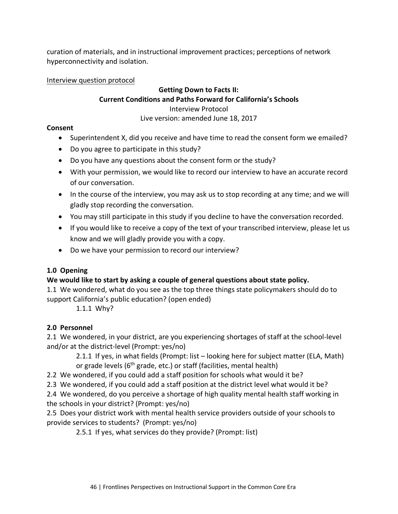curation of materials, and in instructional improvement practices; perceptions of network hyperconnectivity and isolation.

### Interview question protocol

### **Getting Down to Facts II: Current Conditions and Paths Forward for California's Schools** Interview Protocol Live version: amended June 18, 2017

#### **Consent**

- Superintendent X, did you receive and have time to read the consent form we emailed?
- Do you agree to participate in this study?
- Do you have any questions about the consent form or the study?
- With your permission, we would like to record our interview to have an accurate record of our conversation.
- In the course of the interview, you may ask us to stop recording at any time; and we will gladly stop recording the conversation.
- You may still participate in this study if you decline to have the conversation recorded.
- If you would like to receive a copy of the text of your transcribed interview, please let us know and we will gladly provide you with a copy.
- Do we have your permission to record our interview?

### **1.0 Opening**

### **We would like to start by asking a couple of general questions about state policy.**

1.1 We wondered, what do you see as the top three things state policymakers should do to support California's public education? (open ended)

1.1.1 Why?

### **2.0 Personnel**

2.1 We wondered, in your district, are you experiencing shortages of staff at the school-level and/or at the district-level (Prompt: yes/no)

2.1.1 If yes, in what fields (Prompt: list – looking here for subject matter (ELA, Math) or grade levels (6th grade, etc.) or staff (facilities, mental health)

2.2 We wondered, if you could add a staff position for schools what would it be?

2.3 We wondered, if you could add a staff position at the district level what would it be?

2.4 We wondered, do you perceive a shortage of high quality mental health staff working in the schools in your district? (Prompt: yes/no)

2.5 Does your district work with mental health service providers outside of your schools to provide services to students? (Prompt: yes/no)

2.5.1 If yes, what services do they provide? (Prompt: list)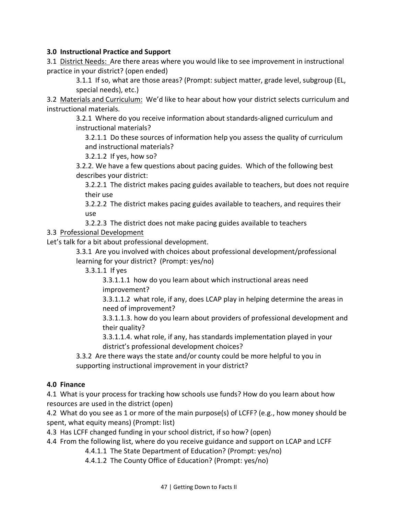### **3.0 Instructional Practice and Support**

3.1 District Needs: Are there areas where you would like to see improvement in instructional practice in your district? (open ended)

3.1.1 If so, what are those areas? (Prompt: subject matter, grade level, subgroup (EL, special needs), etc.)

3.2 Materials and Curriculum: We'd like to hear about how your district selects curriculum and instructional materials.

3.2.1 Where do you receive information about standards-aligned curriculum and instructional materials?

3.2.1.1 Do these sources of information help you assess the quality of curriculum and instructional materials?

3.2.1.2 If yes, how so?

3.2.2. We have a few questions about pacing guides. Which of the following best describes your district:

3.2.2.1 The district makes pacing guides available to teachers, but does not require their use

3.2.2.2 The district makes pacing guides available to teachers, and requires their use

3.2.2.3 The district does not make pacing guides available to teachers

### 3.3 Professional Development

Let's talk for a bit about professional development.

3.3.1 Are you involved with choices about professional development/professional learning for your district? (Prompt: yes/no)

3.3.1.1 If yes

3.3.1.1.1 how do you learn about which instructional areas need improvement?

3.3.1.1.2 what role, if any, does LCAP play in helping determine the areas in need of improvement?

3.3.1.1.3. how do you learn about providers of professional development and their quality?

3.3.1.1.4. what role, if any, has standards implementation played in your district's professional development choices?

3.3.2 Are there ways the state and/or county could be more helpful to you in supporting instructional improvement in your district?

### **4.0 Finance**

4.1 What is your process for tracking how schools use funds? How do you learn about how resources are used in the district (open)

4.2 What do you see as 1 or more of the main purpose(s) of LCFF? (e.g., how money should be spent, what equity means) (Prompt: list)

4.3 Has LCFF changed funding in your school district, if so how? (open)

4.4 From the following list, where do you receive guidance and support on LCAP and LCFF

4.4.1.1 The State Department of Education? (Prompt: yes/no)

4.4.1.2 The County Office of Education? (Prompt: yes/no)